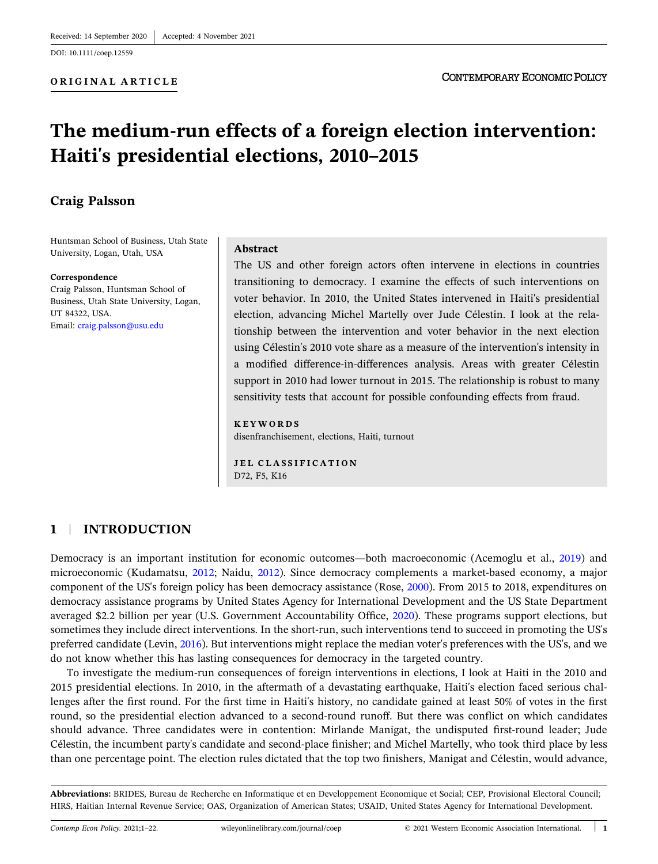DOI: [10.1111/coep.12559](https://doi.org/10.1111/coep.12559)

**ORIGINAL ARTICLE**

# **The medium‐run effects of a foreign election intervention: Haiti's presidential elections, 2010–2015**

## **Craig Palsson**

Huntsman School of Business, Utah State University, Logan, Utah, USA

#### **Correspondence**

Craig Palsson, Huntsman School of Business, Utah State University, Logan, UT 84322, USA. Email: [craig.palsson@usu.edu](mailto:craig.palsson@usu.edu)

#### **Abstract**

The US and other foreign actors often intervene in elections in countries transitioning to democracy. I examine the effects of such interventions on voter behavior. In 2010, the United States intervened in Haiti's presidential election, advancing Michel Martelly over Jude Célestin. I look at the relationship between the intervention and voter behavior in the next election using Célestin's 2010 vote share as a measure of the intervention's intensity in a modified difference‐in‐differences analysis. Areas with greater Célestin support in 2010 had lower turnout in 2015. The relationship is robust to many sensitivity tests that account for possible confounding effects from fraud.

#### **KEYWORDS**

disenfranchisement, elections, Haiti, turnout

**JEL CLASSIFICATION** D72, F5, K16

### **1** <sup>|</sup> **INTRODUCTION**

Democracy is an important institution for economic outcomes—both macroeconomic (Acemoglu et al., [2019\)](#page-20-0) and microeconomic (Kudamatsu, [2012;](#page-20-0) Naidu, [2012](#page-20-0)). Since democracy complements a market-based economy, a major component of the US's foreign policy has been democracy assistance (Rose, [2000](#page-20-0)). From 2015 to 2018, expenditures on democracy assistance programs by United States Agency for International Development and the US State Department averaged \$2.2 billion per year (U.S. Government Accountability Office, [2020](#page-21-0)). These programs support elections, but sometimes they include direct interventions. In the short-run, such interventions tend to succeed in promoting the US's preferred candidate (Levin, [2016\)](#page-20-0). But interventions might replace the median voter's preferences with the US's, and we do not know whether this has lasting consequences for democracy in the targeted country.

To investigate the medium‐run consequences of foreign interventions in elections, I look at Haiti in the 2010 and 2015 presidential elections. In 2010, in the aftermath of a devastating earthquake, Haiti's election faced serious challenges after the first round. For the first time in Haiti's history, no candidate gained at least 50% of votes in the first round, so the presidential election advanced to a second-round runoff. But there was conflict on which candidates should advance. Three candidates were in contention: Mirlande Manigat, the undisputed first-round leader; Jude Célestin, the incumbent party's candidate and second‐place finisher; and Michel Martelly, who took third place by less than one percentage point. The election rules dictated that the top two finishers, Manigat and Célestin, would advance,

**Abbreviations:** BRIDES, Bureau de Recherche en Informatique et en Developpement Economique et Social; CEP, Provisional Electoral Council; HIRS, Haitian Internal Revenue Service; OAS, Organization of American States; USAID, United States Agency for International Development.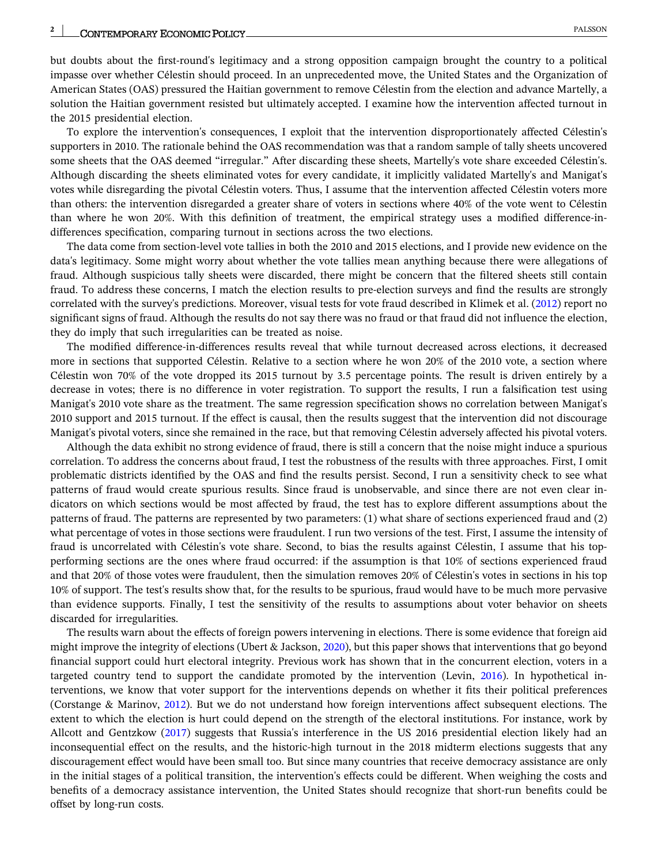but doubts about the first-round's legitimacy and a strong opposition campaign brought the country to a political impasse over whether Célestin should proceed. In an unprecedented move, the United States and the Organization of American States (OAS) pressured the Haitian government to remove Célestin from the election and advance Martelly, a solution the Haitian government resisted but ultimately accepted. I examine how the intervention affected turnout in the 2015 presidential election.

To explore the intervention's consequences, I exploit that the intervention disproportionately affected Célestin's supporters in 2010. The rationale behind the OAS recommendation was that a random sample of tally sheets uncovered some sheets that the OAS deemed "irregular." After discarding these sheets, Martelly's vote share exceeded Célestin's. Although discarding the sheets eliminated votes for every candidate, it implicitly validated Martelly's and Manigat's votes while disregarding the pivotal Célestin voters. Thus, I assume that the intervention affected Célestin voters more than others: the intervention disregarded a greater share of voters in sections where 40% of the vote went to Célestin than where he won 20%. With this definition of treatment, the empirical strategy uses a modified difference‐in‐ differences specification, comparing turnout in sections across the two elections.

The data come from section-level vote tallies in both the 2010 and 2015 elections, and I provide new evidence on the data's legitimacy. Some might worry about whether the vote tallies mean anything because there were allegations of fraud. Although suspicious tally sheets were discarded, there might be concern that the filtered sheets still contain fraud. To address these concerns, I match the election results to pre‐election surveys and find the results are strongly correlated with the survey's predictions. Moreover, visual tests for vote fraud described in Klimek et al. ([2012\)](#page-20-0) report no significant signs of fraud. Although the results do not say there was no fraud or that fraud did not influence the election, they do imply that such irregularities can be treated as noise.

The modified difference-in-differences results reveal that while turnout decreased across elections, it decreased more in sections that supported Célestin. Relative to a section where he won 20% of the 2010 vote, a section where Célestin won 70% of the vote dropped its 2015 turnout by 3.5 percentage points. The result is driven entirely by a decrease in votes; there is no difference in voter registration. To support the results, I run a falsification test using Manigat's 2010 vote share as the treatment. The same regression specification shows no correlation between Manigat's 2010 support and 2015 turnout. If the effect is causal, then the results suggest that the intervention did not discourage Manigat's pivotal voters, since she remained in the race, but that removing Célestin adversely affected his pivotal voters.

Although the data exhibit no strong evidence of fraud, there is still a concern that the noise might induce a spurious correlation. To address the concerns about fraud, I test the robustness of the results with three approaches. First, I omit problematic districts identified by the OAS and find the results persist. Second, I run a sensitivity check to see what patterns of fraud would create spurious results. Since fraud is unobservable, and since there are not even clear indicators on which sections would be most affected by fraud, the test has to explore different assumptions about the patterns of fraud. The patterns are represented by two parameters: (1) what share of sections experienced fraud and (2) what percentage of votes in those sections were fraudulent. I run two versions of the test. First, I assume the intensity of fraud is uncorrelated with Célestin's vote share. Second, to bias the results against Célestin, I assume that his topperforming sections are the ones where fraud occurred: if the assumption is that 10% of sections experienced fraud and that 20% of those votes were fraudulent, then the simulation removes 20% of Célestin's votes in sections in his top 10% of support. The test's results show that, for the results to be spurious, fraud would have to be much more pervasive than evidence supports. Finally, I test the sensitivity of the results to assumptions about voter behavior on sheets discarded for irregularities.

The results warn about the effects of foreign powers intervening in elections. There is some evidence that foreign aid might improve the integrity of elections (Ubert & Jackson, [2020](#page-20-0)), but this paper shows that interventions that go beyond financial support could hurt electoral integrity. Previous work has shown that in the concurrent election, voters in a targeted country tend to support the candidate promoted by the intervention (Levin, [2016\)](#page-20-0). In hypothetical interventions, we know that voter support for the interventions depends on whether it fits their political preferences (Corstange & Marinov, [2012](#page-20-0)). But we do not understand how foreign interventions affect subsequent elections. The extent to which the election is hurt could depend on the strength of the electoral institutions. For instance, work by Allcott and Gentzkow [\(2017\)](#page-20-0) suggests that Russia's interference in the US 2016 presidential election likely had an inconsequential effect on the results, and the historic‐high turnout in the 2018 midterm elections suggests that any discouragement effect would have been small too. But since many countries that receive democracy assistance are only in the initial stages of a political transition, the intervention's effects could be different. When weighing the costs and benefits of a democracy assistance intervention, the United States should recognize that short‐run benefits could be offset by long‐run costs.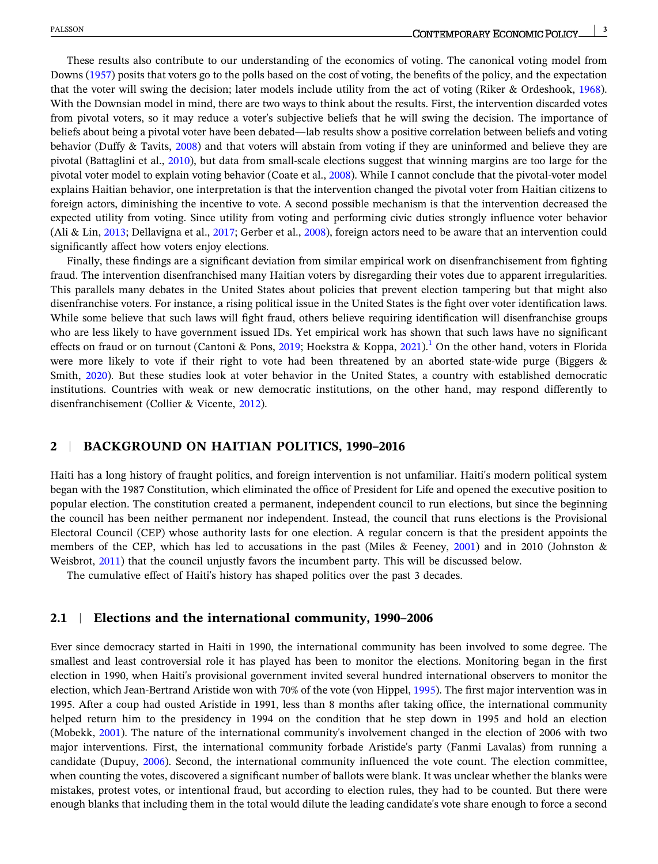These results also contribute to our understanding of the economics of voting. The canonical voting model from Downs [\(1957\)](#page-20-0) posits that voters go to the polls based on the cost of voting, the benefits of the policy, and the expectation that the voter will swing the decision; later models include utility from the act of voting (Riker & Ordeshook, [1968\)](#page-20-0). With the Downsian model in mind, there are two ways to think about the results. First, the intervention discarded votes from pivotal voters, so it may reduce a voter's subjective beliefs that he will swing the decision. The importance of beliefs about being a pivotal voter have been debated—lab results show a positive correlation between beliefs and voting behavior (Duffy & Tavits, [2008\)](#page-20-0) and that voters will abstain from voting if they are uninformed and believe they are pivotal (Battaglini et al., [2010\)](#page-20-0), but data from small‐scale elections suggest that winning margins are too large for the pivotal voter model to explain voting behavior (Coate et al., [2008\)](#page-20-0). While I cannot conclude that the pivotal-voter model explains Haitian behavior, one interpretation is that the intervention changed the pivotal voter from Haitian citizens to foreign actors, diminishing the incentive to vote. A second possible mechanism is that the intervention decreased the expected utility from voting. Since utility from voting and performing civic duties strongly influence voter behavior (Ali & Lin, [2013;](#page-20-0) Dellavigna et al., [2017](#page-20-0); Gerber et al., [2008](#page-20-0)), foreign actors need to be aware that an intervention could significantly affect how voters enjoy elections.

Finally, these findings are a significant deviation from similar empirical work on disenfranchisement from fighting fraud. The intervention disenfranchised many Haitian voters by disregarding their votes due to apparent irregularities. This parallels many debates in the United States about policies that prevent election tampering but that might also disenfranchise voters. For instance, a rising political issue in the United States is the fight over voter identification laws. While some believe that such laws will fight fraud, others believe requiring identification will disenfranchise groups who are less likely to have government issued IDs. Yet empirical work has shown that such laws have no significant effects on fraud or on turnout (Cantoni & Pons, [2019;](#page-20-0) Hoekstra & Koppa, [2021\)](#page-20-0).<sup>[1](#page-19-0)</sup> On the other hand, voters in Florida were more likely to vote if their right to vote had been threatened by an aborted state-wide purge (Biggers & Smith, [2020](#page-20-0)). But these studies look at voter behavior in the United States, a country with established democratic institutions. Countries with weak or new democratic institutions, on the other hand, may respond differently to disenfranchisement (Collier & Vicente, [2012](#page-20-0)).

#### **2** <sup>|</sup> **BACKGROUND ON HAITIAN POLITICS, 1990–2016**

Haiti has a long history of fraught politics, and foreign intervention is not unfamiliar. Haiti's modern political system began with the 1987 Constitution, which eliminated the office of President for Life and opened the executive position to popular election. The constitution created a permanent, independent council to run elections, but since the beginning the council has been neither permanent nor independent. Instead, the council that runs elections is the Provisional Electoral Council (CEP) whose authority lasts for one election. A regular concern is that the president appoints the members of the CEP, which has led to accusations in the past (Miles & Feeney, [2001\)](#page-20-0) and in 2010 (Johnston & Weisbrot, [2011](#page-20-0)) that the council unjustly favors the incumbent party. This will be discussed below.

The cumulative effect of Haiti's history has shaped politics over the past 3 decades.

#### **2.1** <sup>|</sup> **Elections and the international community, 1990–2006**

Ever since democracy started in Haiti in 1990, the international community has been involved to some degree. The smallest and least controversial role it has played has been to monitor the elections. Monitoring began in the first election in 1990, when Haiti's provisional government invited several hundred international observers to monitor the election, which Jean‐Bertrand Aristide won with 70% of the vote (von Hippel, [1995](#page-21-0)). The first major intervention was in 1995. After a coup had ousted Aristide in 1991, less than 8 months after taking office, the international community helped return him to the presidency in 1994 on the condition that he step down in 1995 and hold an election (Mobekk, [2001](#page-20-0)). The nature of the international community's involvement changed in the election of 2006 with two major interventions. First, the international community forbade Aristide's party (Fanmi Lavalas) from running a candidate (Dupuy, [2006](#page-20-0)). Second, the international community influenced the vote count. The election committee, when counting the votes, discovered a significant number of ballots were blank. It was unclear whether the blanks were mistakes, protest votes, or intentional fraud, but according to election rules, they had to be counted. But there were enough blanks that including them in the total would dilute the leading candidate's vote share enough to force a second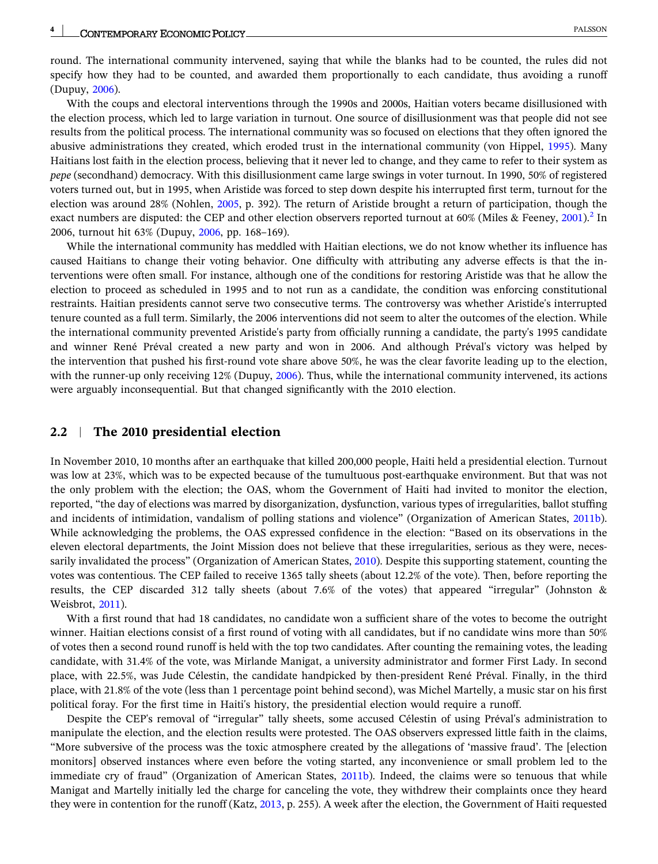round. The international community intervened, saying that while the blanks had to be counted, the rules did not specify how they had to be counted, and awarded them proportionally to each candidate, thus avoiding a runoff (Dupuy, [2006](#page-20-0)).

With the coups and electoral interventions through the 1990s and 2000s, Haitian voters became disillusioned with the election process, which led to large variation in turnout. One source of disillusionment was that people did not see results from the political process. The international community was so focused on elections that they often ignored the abusive administrations they created, which eroded trust in the international community (von Hippel, [1995\)](#page-21-0). Many Haitians lost faith in the election process, believing that it never led to change, and they came to refer to their system as *pepe* (secondhand) democracy. With this disillusionment came large swings in voter turnout. In 1990, 50% of registered voters turned out, but in 1995, when Aristide was forced to step down despite his interrupted first term, turnout for the election was around 28% (Nohlen, [2005](#page-20-0), p. 392). The return of Aristide brought a return of participation, though the exact numbers are disputed: the CEP and other election observers reported turnout at 60% (Miles & Feeney, [2001\)](#page-20-0).<sup>[2](#page-19-0)</sup> In 2006, turnout hit 63% (Dupuy, [2006,](#page-20-0) pp. 168–169).

While the international community has meddled with Haitian elections, we do not know whether its influence has caused Haitians to change their voting behavior. One difficulty with attributing any adverse effects is that the interventions were often small. For instance, although one of the conditions for restoring Aristide was that he allow the election to proceed as scheduled in 1995 and to not run as a candidate, the condition was enforcing constitutional restraints. Haitian presidents cannot serve two consecutive terms. The controversy was whether Aristide's interrupted tenure counted as a full term. Similarly, the 2006 interventions did not seem to alter the outcomes of the election. While the international community prevented Aristide's party from officially running a candidate, the party's 1995 candidate and winner René Préval created a new party and won in 2006. And although Préval's victory was helped by the intervention that pushed his first-round vote share above 50%, he was the clear favorite leading up to the election, with the runner-up only receiving 12% (Dupuy, [2006](#page-20-0)). Thus, while the international community intervened, its actions were arguably inconsequential. But that changed significantly with the 2010 election.

#### **2.2** <sup>|</sup> **The 2010 presidential election**

In November 2010, 10 months after an earthquake that killed 200,000 people, Haiti held a presidential election. Turnout was low at 23%, which was to be expected because of the tumultuous post-earthquake environment. But that was not the only problem with the election; the OAS, whom the Government of Haiti had invited to monitor the election, reported, "the day of elections was marred by disorganization, dysfunction, various types of irregularities, ballot stuffing and incidents of intimidation, vandalism of polling stations and violence" (Organization of American States, [2011b\)](#page-20-0). While acknowledging the problems, the OAS expressed confidence in the election: "Based on its observations in the eleven electoral departments, the Joint Mission does not believe that these irregularities, serious as they were, neces-sarily invalidated the process" (Organization of American States, [2010\)](#page-20-0). Despite this supporting statement, counting the votes was contentious. The CEP failed to receive 1365 tally sheets (about 12.2% of the vote). Then, before reporting the results, the CEP discarded 312 tally sheets (about 7.6% of the votes) that appeared "irregular" (Johnston & Weisbrot, [2011](#page-20-0)).

With a first round that had 18 candidates, no candidate won a sufficient share of the votes to become the outright winner. Haitian elections consist of a first round of voting with all candidates, but if no candidate wins more than 50% of votes then a second round runoff is held with the top two candidates. After counting the remaining votes, the leading candidate, with 31.4% of the vote, was Mirlande Manigat, a university administrator and former First Lady. In second place, with 22.5%, was Jude Célestin, the candidate handpicked by then‐president René Préval. Finally, in the third place, with 21.8% of the vote (less than 1 percentage point behind second), was Michel Martelly, a music star on his first political foray. For the first time in Haiti's history, the presidential election would require a runoff.

Despite the CEP's removal of "irregular" tally sheets, some accused Célestin of using Préval's administration to manipulate the election, and the election results were protested. The OAS observers expressed little faith in the claims, "More subversive of the process was the toxic atmosphere created by the allegations of 'massive fraud'. The [election monitors] observed instances where even before the voting started, any inconvenience or small problem led to the immediate cry of fraud" (Organization of American States, [2011b\)](#page-20-0). Indeed, the claims were so tenuous that while Manigat and Martelly initially led the charge for canceling the vote, they withdrew their complaints once they heard they were in contention for the runoff (Katz, [2013,](#page-20-0) p. 255). A week after the election, the Government of Haiti requested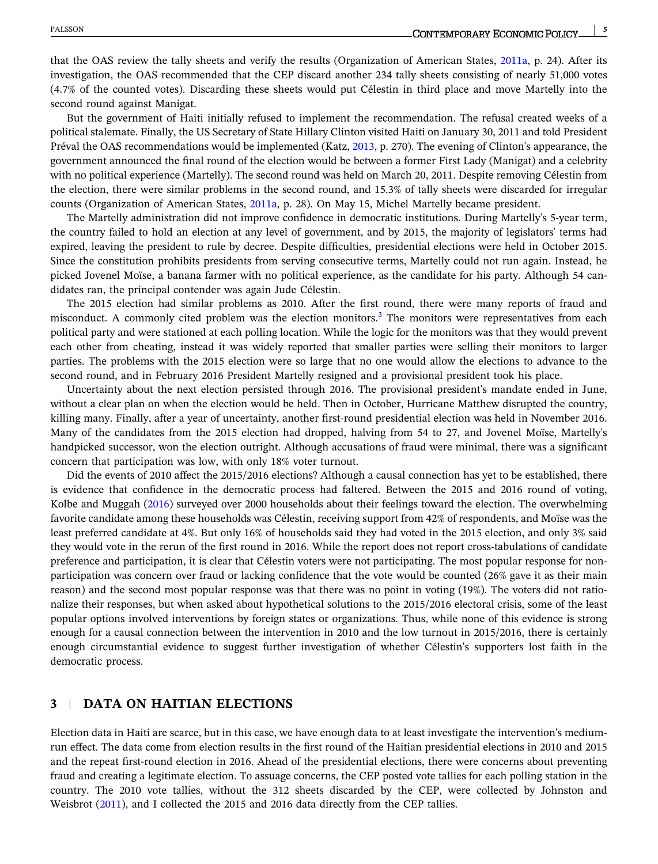that the OAS review the tally sheets and verify the results (Organization of American States, [2011a](#page-20-0), p. 24). After its investigation, the OAS recommended that the CEP discard another 234 tally sheets consisting of nearly 51,000 votes (4.7% of the counted votes). Discarding these sheets would put Célestin in third place and move Martelly into the second round against Manigat.

But the government of Haiti initially refused to implement the recommendation. The refusal created weeks of a political stalemate. Finally, the US Secretary of State Hillary Clinton visited Haiti on January 30, 2011 and told President Préval the OAS recommendations would be implemented (Katz, [2013,](#page-20-0) p. 270). The evening of Clinton's appearance, the government announced the final round of the election would be between a former First Lady (Manigat) and a celebrity with no political experience (Martelly). The second round was held on March 20, 2011. Despite removing Célestin from the election, there were similar problems in the second round, and 15.3% of tally sheets were discarded for irregular counts (Organization of American States, [2011a,](#page-20-0) p. 28). On May 15, Michel Martelly became president.

The Martelly administration did not improve confidence in democratic institutions. During Martelly's 5‐year term, the country failed to hold an election at any level of government, and by 2015, the majority of legislators' terms had expired, leaving the president to rule by decree. Despite difficulties, presidential elections were held in October 2015. Since the constitution prohibits presidents from serving consecutive terms, Martelly could not run again. Instead, he picked Jovenel Moïse, a banana farmer with no political experience, as the candidate for his party. Although 54 candidates ran, the principal contender was again Jude Célestin.

The 2015 election had similar problems as 2010. After the first round, there were many reports of fraud and misconduct. A commonly cited problem was the election monitors.<sup>[3](#page-19-0)</sup> The monitors were representatives from each political party and were stationed at each polling location. While the logic for the monitors was that they would prevent each other from cheating, instead it was widely reported that smaller parties were selling their monitors to larger parties. The problems with the 2015 election were so large that no one would allow the elections to advance to the second round, and in February 2016 President Martelly resigned and a provisional president took his place.

Uncertainty about the next election persisted through 2016. The provisional president's mandate ended in June, without a clear plan on when the election would be held. Then in October, Hurricane Matthew disrupted the country, killing many. Finally, after a year of uncertainty, another first-round presidential election was held in November 2016. Many of the candidates from the 2015 election had dropped, halving from 54 to 27, and Jovenel Moïse, Martelly's handpicked successor, won the election outright. Although accusations of fraud were minimal, there was a significant concern that participation was low, with only 18% voter turnout.

Did the events of 2010 affect the 2015/2016 elections? Although a causal connection has yet to be established, there is evidence that confidence in the democratic process had faltered. Between the 2015 and 2016 round of voting, Kolbe and Muggah ([2016](#page-20-0)) surveyed over 2000 households about their feelings toward the election. The overwhelming favorite candidate among these households was Célestin, receiving support from 42% of respondents, and Moïse was the least preferred candidate at 4%. But only 16% of households said they had voted in the 2015 election, and only 3% said they would vote in the rerun of the first round in 2016. While the report does not report cross-tabulations of candidate preference and participation, it is clear that Célestin voters were not participating. The most popular response for nonparticipation was concern over fraud or lacking confidence that the vote would be counted (26% gave it as their main reason) and the second most popular response was that there was no point in voting (19%). The voters did not rationalize their responses, but when asked about hypothetical solutions to the 2015/2016 electoral crisis, some of the least popular options involved interventions by foreign states or organizations. Thus, while none of this evidence is strong enough for a causal connection between the intervention in 2010 and the low turnout in 2015/2016, there is certainly enough circumstantial evidence to suggest further investigation of whether Célestin's supporters lost faith in the democratic process.

### **3** <sup>|</sup> **DATA ON HAITIAN ELECTIONS**

Election data in Haiti are scarce, but in this case, we have enough data to at least investigate the intervention's medium‐ run effect. The data come from election results in the first round of the Haitian presidential elections in 2010 and 2015 and the repeat first-round election in 2016. Ahead of the presidential elections, there were concerns about preventing fraud and creating a legitimate election. To assuage concerns, the CEP posted vote tallies for each polling station in the country. The 2010 vote tallies, without the 312 sheets discarded by the CEP, were collected by Johnston and Weisbrot [\(2011](#page-20-0)), and I collected the 2015 and 2016 data directly from the CEP tallies.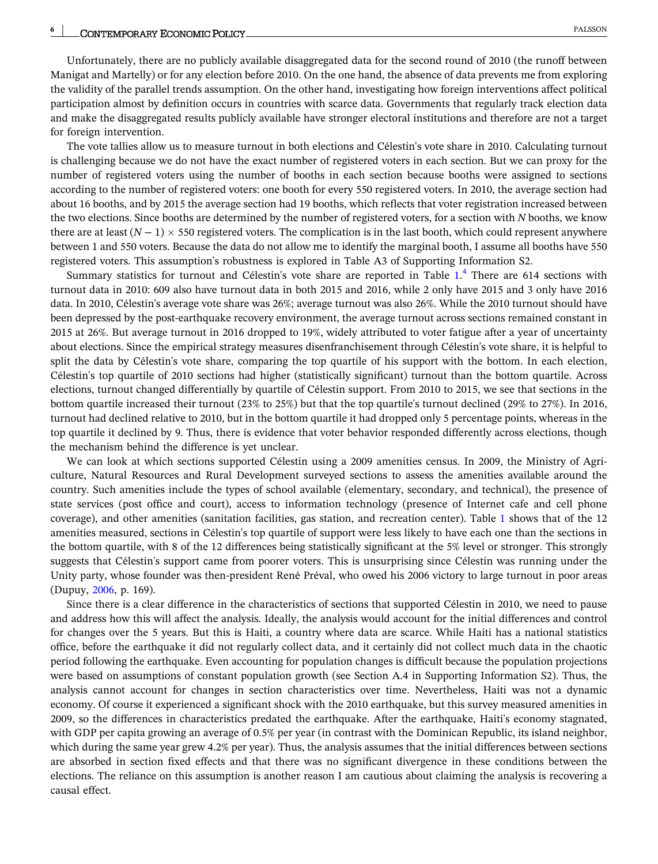Unfortunately, there are no publicly available disaggregated data for the second round of 2010 (the runoff between Manigat and Martelly) or for any election before 2010. On the one hand, the absence of data prevents me from exploring the validity of the parallel trends assumption. On the other hand, investigating how foreign interventions affect political participation almost by definition occurs in countries with scarce data. Governments that regularly track election data and make the disaggregated results publicly available have stronger electoral institutions and therefore are not a target for foreign intervention.

The vote tallies allow us to measure turnout in both elections and Célestin's vote share in 2010. Calculating turnout is challenging because we do not have the exact number of registered voters in each section. But we can proxy for the number of registered voters using the number of booths in each section because booths were assigned to sections according to the number of registered voters: one booth for every 550 registered voters. In 2010, the average section had about 16 booths, and by 2015 the average section had 19 booths, which reflects that voter registration increased between the two elections. Since booths are determined by the number of registered voters, for a section with *N* booths, we know there are at least  $(N-1) \times 550$  registered voters. The complication is in the last booth, which could represent anywhere between 1 and 550 voters. Because the data do not allow me to identify the marginal booth, I assume all booths have 550 registered voters. This assumption's robustness is explored in Table A3 of Supporting Information S2.

Summary statistics for turnout and Célestin's vote share are reported in Table [1](#page-6-0).<sup>[4](#page-19-0)</sup> There are 614 sections with turnout data in 2010: 609 also have turnout data in both 2015 and 2016, while 2 only have 2015 and 3 only have 2016 data. In 2010, Célestin's average vote share was 26%; average turnout was also 26%. While the 2010 turnout should have been depressed by the post-earthquake recovery environment, the average turnout across sections remained constant in 2015 at 26%. But average turnout in 2016 dropped to 19%, widely attributed to voter fatigue after a year of uncertainty about elections. Since the empirical strategy measures disenfranchisement through Célestin's vote share, it is helpful to split the data by Célestin's vote share, comparing the top quartile of his support with the bottom. In each election, Célestin's top quartile of 2010 sections had higher (statistically significant) turnout than the bottom quartile. Across elections, turnout changed differentially by quartile of Célestin support. From 2010 to 2015, we see that sections in the bottom quartile increased their turnout (23% to 25%) but that the top quartile's turnout declined (29% to 27%). In 2016, turnout had declined relative to 2010, but in the bottom quartile it had dropped only 5 percentage points, whereas in the top quartile it declined by 9. Thus, there is evidence that voter behavior responded differently across elections, though the mechanism behind the difference is yet unclear.

We can look at which sections supported Célestin using a 2009 amenities census. In 2009, the Ministry of Agriculture, Natural Resources and Rural Development surveyed sections to assess the amenities available around the country. Such amenities include the types of school available (elementary, secondary, and technical), the presence of state services (post office and court), access to information technology (presence of Internet cafe and cell phone coverage), and other amenities (sanitation facilities, gas station, and recreation center). Table [1](#page-6-0) shows that of the 12 amenities measured, sections in Célestin's top quartile of support were less likely to have each one than the sections in the bottom quartile, with 8 of the 12 differences being statistically significant at the 5% level or stronger. This strongly suggests that Célestin's support came from poorer voters. This is unsurprising since Célestin was running under the Unity party, whose founder was then‐president René Préval, who owed his 2006 victory to large turnout in poor areas (Dupuy, [2006](#page-20-0), p. 169).

Since there is a clear difference in the characteristics of sections that supported Célestin in 2010, we need to pause and address how this will affect the analysis. Ideally, the analysis would account for the initial differences and control for changes over the 5 years. But this is Haiti, a country where data are scarce. While Haiti has a national statistics office, before the earthquake it did not regularly collect data, and it certainly did not collect much data in the chaotic period following the earthquake. Even accounting for population changes is difficult because the population projections were based on assumptions of constant population growth (see Section A.4 in Supporting Information S2). Thus, the analysis cannot account for changes in section characteristics over time. Nevertheless, Haiti was not a dynamic economy. Of course it experienced a significant shock with the 2010 earthquake, but this survey measured amenities in 2009, so the differences in characteristics predated the earthquake. After the earthquake, Haiti's economy stagnated, with GDP per capita growing an average of 0.5% per year (in contrast with the Dominican Republic, its island neighbor, which during the same year grew 4.2% per year). Thus, the analysis assumes that the initial differences between sections are absorbed in section fixed effects and that there was no significant divergence in these conditions between the elections. The reliance on this assumption is another reason I am cautious about claiming the analysis is recovering a causal effect.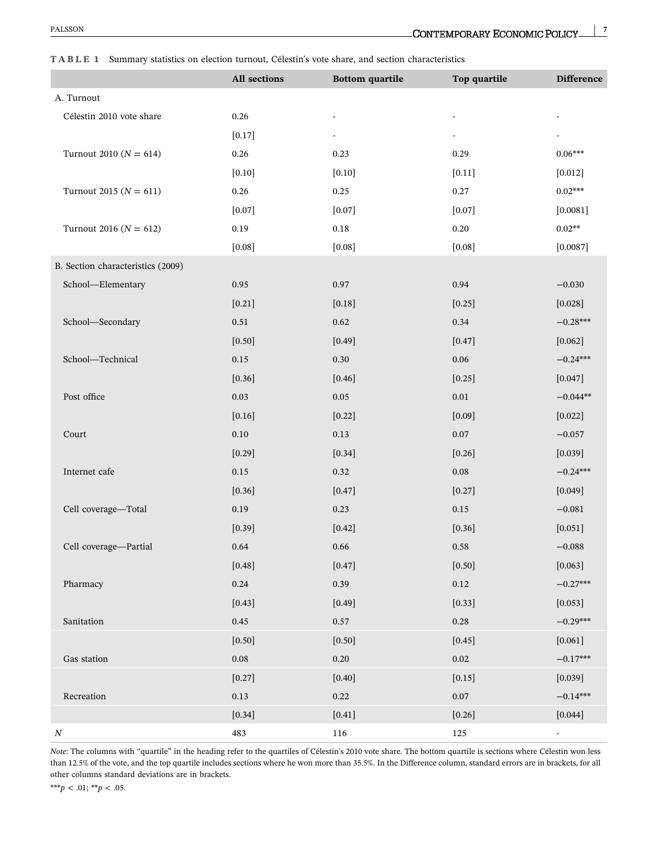#### <span id="page-6-0"></span>**TABLE 1** Summary statistics on election turnout, Célestin's vote share, and section characteristics

|                                   | All sections | <b>Bottom</b> quartile | Top quartile | <b>Difference</b> |
|-----------------------------------|--------------|------------------------|--------------|-------------------|
| A. Turnout                        |              |                        |              |                   |
| Célestin 2010 vote share          | 0.26         |                        |              |                   |
|                                   | $[0.17]$     |                        |              |                   |
| Turnout 2010 ( $N = 614$ )        | 0.26         | 0.23                   | 0.29         | $0.06***$         |
|                                   | $[0.10]$     | $[0.10]$               | $[0.11]$     | $[0.012]$         |
| Turnout 2015 ( $N = 611$ )        | $0.26\,$     | 0.25                   | 0.27         | $0.02***$         |
|                                   | $[0.07]$     | [0.07]                 | $[0.07]$     | [0.0081]          |
| Turnout 2016 ( $N = 612$ )        | 0.19         | $0.18\,$               | $0.20\,$     | $0.02**$          |
|                                   | [0.08]       | [0.08]                 | $[0.08]$     | [0.0087]          |
| B. Section characteristics (2009) |              |                        |              |                   |
| School-Elementary                 | 0.95         | 0.97                   | 0.94         | $-0.030$          |
|                                   | $[0.21]$     | [0.18]                 | $[0.25]$     | [0.028]           |
| School-Secondary                  | 0.51         | 0.62                   | 0.34         | $-0.28***$        |
|                                   | $[0.50]$     | [0.49]                 | $[0.47]$     | $[0.062]$         |
| School-Technical                  | $0.15\,$     | 0.30                   | $0.06\,$     | $-0.24***$        |
|                                   | [0.36]       | [0.46]                 | $[0.25]$     | [0.047]           |
| Post office                       | $0.03\,$     | $0.05\,$               | $0.01\,$     | $-0.044**$        |
|                                   | $[0.16]$     | $[0.22]$               | $[0.09]$     | $[0.022]$         |
| Court                             | $0.10\,$     | $0.13\,$               | $0.07\,$     | $-0.057$          |
|                                   | $[0.29]$     | [0.34]                 | [0.26]       | $[0.039]$         |
| Internet cafe                     | $0.15\,$     | 0.32                   | $0.08\,$     | $-0.24***$        |
|                                   | [0.36]       | [0.47]                 | $[0.27]$     | [0.049]           |
| Cell coverage-Total               | $0.19\,$     | 0.23                   | $0.15\,$     | $-0.081$          |
|                                   | [0.39]       | $[0.42]$               | [0.36]       | [0.051]           |
| Cell coverage-Partial             | 0.64         | 0.66                   | 0.58         | $-0.088$          |
|                                   | $[0.48]$     | $[0.47]$               | $[0.50]$     | [0.063]           |
| Pharmacy                          | 0.24         | 0.39                   | $0.12\,$     | $-0.27***$        |
|                                   | $[0.43]$     | [0.49]                 | [0.33]       | $[0.053]$         |
| Sanitation                        | $0.45\,$     | 0.57                   | $0.28\,$     | $-0.29***$        |
|                                   | $[0.50]$     | $[0.50]$               | $[0.45]$     | $[0.061]$         |
| Gas station                       | $0.08\,$     | $0.20\,$               | $0.02\,$     | $-0.17***$        |
|                                   | $[0.27]$     | $[0.40]$               | $[0.15]$     | $[0.039]$         |
| Recreation                        | $0.13\,$     | 0.22                   | $0.07\,$     | $-0.14***$        |
|                                   | $[0.34]$     | $[0.41]$               | [0.26]       | [0.044]           |
| $\cal N$                          | 483          | $116\,$                | $125\,$      | $\blacksquare$    |

*Note*: The columns with "quartile" in the heading refer to the quartiles of Célestin's 2010 vote share. The bottom quartile is sections where Célestin won less than 12.5% of the vote, and the top quartile includes sections where he won more than 35.5%. In the Difference column, standard errors are in brackets, for all other columns standard deviations are in brackets.

\*\*\**p* < .01; \*\**p* < .05.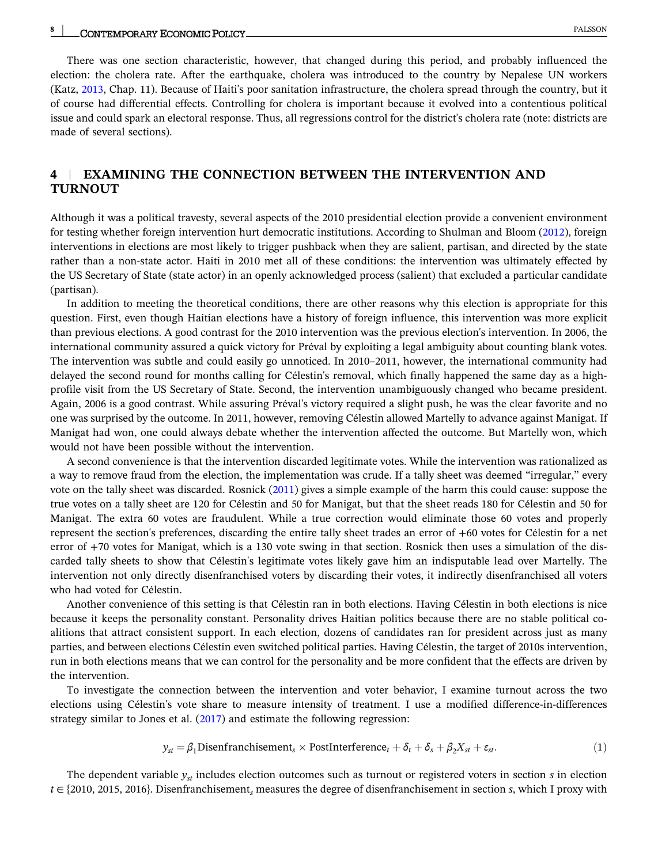#### <span id="page-7-0"></span>**8** - PALSSON

There was one section characteristic, however, that changed during this period, and probably influenced the election: the cholera rate. After the earthquake, cholera was introduced to the country by Nepalese UN workers (Katz, [2013,](#page-20-0) Chap. 11). Because of Haiti's poor sanitation infrastructure, the cholera spread through the country, but it of course had differential effects. Controlling for cholera is important because it evolved into a contentious political issue and could spark an electoral response. Thus, all regressions control for the district's cholera rate (note: districts are made of several sections).

### **4** <sup>|</sup> **EXAMINING THE CONNECTION BETWEEN THE INTERVENTION AND TURNOUT**

Although it was a political travesty, several aspects of the 2010 presidential election provide a convenient environment for testing whether foreign intervention hurt democratic institutions. According to Shulman and Bloom [\(2012](#page-20-0)), foreign interventions in elections are most likely to trigger pushback when they are salient, partisan, and directed by the state rather than a non-state actor. Haiti in 2010 met all of these conditions: the intervention was ultimately effected by the US Secretary of State (state actor) in an openly acknowledged process (salient) that excluded a particular candidate (partisan).

In addition to meeting the theoretical conditions, there are other reasons why this election is appropriate for this question. First, even though Haitian elections have a history of foreign influence, this intervention was more explicit than previous elections. A good contrast for the 2010 intervention was the previous election's intervention. In 2006, the international community assured a quick victory for Préval by exploiting a legal ambiguity about counting blank votes. The intervention was subtle and could easily go unnoticed. In 2010–2011, however, the international community had delayed the second round for months calling for Célestin's removal, which finally happened the same day as a highprofile visit from the US Secretary of State. Second, the intervention unambiguously changed who became president. Again, 2006 is a good contrast. While assuring Préval's victory required a slight push, he was the clear favorite and no one was surprised by the outcome. In 2011, however, removing Célestin allowed Martelly to advance against Manigat. If Manigat had won, one could always debate whether the intervention affected the outcome. But Martelly won, which would not have been possible without the intervention.

A second convenience is that the intervention discarded legitimate votes. While the intervention was rationalized as a way to remove fraud from the election, the implementation was crude. If a tally sheet was deemed "irregular," every vote on the tally sheet was discarded. Rosnick ([2011\)](#page-20-0) gives a simple example of the harm this could cause: suppose the true votes on a tally sheet are 120 for Célestin and 50 for Manigat, but that the sheet reads 180 for Célestin and 50 for Manigat. The extra 60 votes are fraudulent. While a true correction would eliminate those 60 votes and properly represent the section's preferences, discarding the entire tally sheet trades an error of +60 votes for Célestin for a net error of +70 votes for Manigat, which is a 130 vote swing in that section. Rosnick then uses a simulation of the discarded tally sheets to show that Célestin's legitimate votes likely gave him an indisputable lead over Martelly. The intervention not only directly disenfranchised voters by discarding their votes, it indirectly disenfranchised all voters who had voted for Célestin.

Another convenience of this setting is that Célestin ran in both elections. Having Célestin in both elections is nice because it keeps the personality constant. Personality drives Haitian politics because there are no stable political coalitions that attract consistent support. In each election, dozens of candidates ran for president across just as many parties, and between elections Célestin even switched political parties. Having Célestin, the target of 2010s intervention, run in both elections means that we can control for the personality and be more confident that the effects are driven by the intervention.

To investigate the connection between the intervention and voter behavior, I examine turnout across the two elections using Célestin's vote share to measure intensity of treatment. I use a modified difference-in-differences strategy similar to Jones et al. ([2017](#page-20-0)) and estimate the following regression:

$$
y_{st} = \beta_1 \text{Disenfranchisement}_s \times \text{PostInterference}_t + \delta_t + \delta_s + \beta_2 X_{st} + \varepsilon_{st}.
$$
 (1)

The dependent variable *yst* includes election outcomes such as turnout or registered voters in section *s* in election *t* ∈ {2010, 2015, 2016}. Disenfranchisement*<sup>s</sup>* measures the degree of disenfranchisement in section *s*, which I proxy with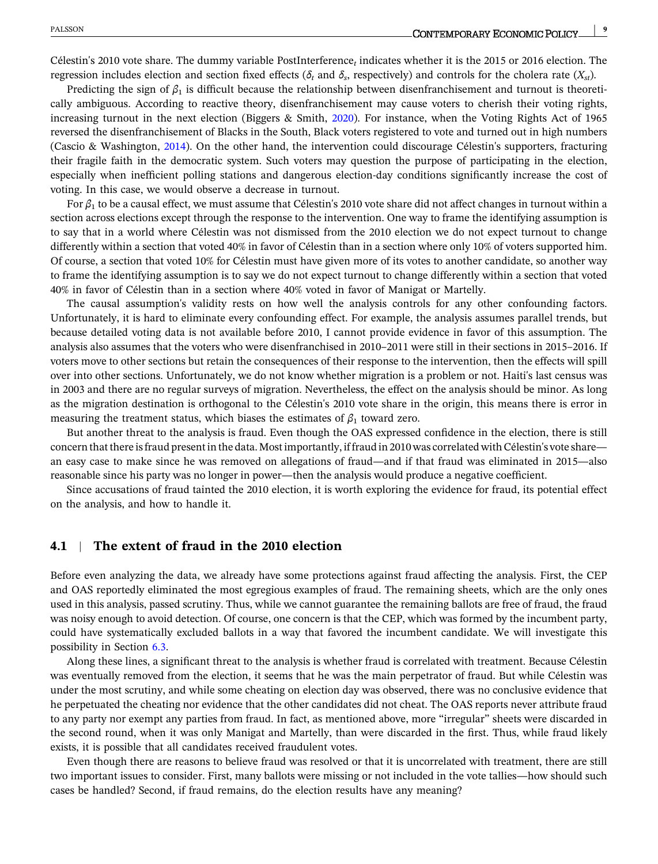Célestin's 2010 vote share. The dummy variable PostInterference*<sup>t</sup>* indicates whether it is the 2015 or 2016 election. The regression includes election and section fixed effects ( $δ_t$  and  $δ_s$ , respectively) and controls for the cholera rate ( $X_{st}$ ).

Predicting the sign of  $\beta_1$  is difficult because the relationship between disenfranchisement and turnout is theoretically ambiguous. According to reactive theory, disenfranchisement may cause voters to cherish their voting rights, increasing turnout in the next election (Biggers & Smith, [2020](#page-20-0)). For instance, when the Voting Rights Act of 1965 reversed the disenfranchisement of Blacks in the South, Black voters registered to vote and turned out in high numbers (Cascio & Washington, [2014](#page-20-0)). On the other hand, the intervention could discourage Célestin's supporters, fracturing their fragile faith in the democratic system. Such voters may question the purpose of participating in the election, especially when inefficient polling stations and dangerous election‐day conditions significantly increase the cost of voting. In this case, we would observe a decrease in turnout.

For *β*<sup>1</sup> to be a causal effect, we must assume that Célestin's 2010 vote share did not affect changes in turnout within a section across elections except through the response to the intervention. One way to frame the identifying assumption is to say that in a world where Célestin was not dismissed from the 2010 election we do not expect turnout to change differently within a section that voted 40% in favor of Célestin than in a section where only 10% of voters supported him. Of course, a section that voted 10% for Célestin must have given more of its votes to another candidate, so another way to frame the identifying assumption is to say we do not expect turnout to change differently within a section that voted 40% in favor of Célestin than in a section where 40% voted in favor of Manigat or Martelly.

The causal assumption's validity rests on how well the analysis controls for any other confounding factors. Unfortunately, it is hard to eliminate every confounding effect. For example, the analysis assumes parallel trends, but because detailed voting data is not available before 2010, I cannot provide evidence in favor of this assumption. The analysis also assumes that the voters who were disenfranchised in 2010–2011 were still in their sections in 2015–2016. If voters move to other sections but retain the consequences of their response to the intervention, then the effects will spill over into other sections. Unfortunately, we do not know whether migration is a problem or not. Haiti's last census was in 2003 and there are no regular surveys of migration. Nevertheless, the effect on the analysis should be minor. As long as the migration destination is orthogonal to the Célestin's 2010 vote share in the origin, this means there is error in measuring the treatment status, which biases the estimates of  $\beta_1$  toward zero.

But another threat to the analysis is fraud. Even though the OAS expressed confidence in the election, there is still concern that there is fraud present in the data. Most importantly, if fraud in 2010 was correlated with Célestin's vote share an easy case to make since he was removed on allegations of fraud—and if that fraud was eliminated in 2015—also reasonable since his party was no longer in power—then the analysis would produce a negative coefficient.

Since accusations of fraud tainted the 2010 election, it is worth exploring the evidence for fraud, its potential effect on the analysis, and how to handle it.

#### **4.1** <sup>|</sup> **The extent of fraud in the 2010 election**

Before even analyzing the data, we already have some protections against fraud affecting the analysis. First, the CEP and OAS reportedly eliminated the most egregious examples of fraud. The remaining sheets, which are the only ones used in this analysis, passed scrutiny. Thus, while we cannot guarantee the remaining ballots are free of fraud, the fraud was noisy enough to avoid detection. Of course, one concern is that the CEP, which was formed by the incumbent party, could have systematically excluded ballots in a way that favored the incumbent candidate. We will investigate this possibility in Section [6.3](#page-17-0).

Along these lines, a significant threat to the analysis is whether fraud is correlated with treatment. Because Célestin was eventually removed from the election, it seems that he was the main perpetrator of fraud. But while Célestin was under the most scrutiny, and while some cheating on election day was observed, there was no conclusive evidence that he perpetuated the cheating nor evidence that the other candidates did not cheat. The OAS reports never attribute fraud to any party nor exempt any parties from fraud. In fact, as mentioned above, more "irregular" sheets were discarded in the second round, when it was only Manigat and Martelly, than were discarded in the first. Thus, while fraud likely exists, it is possible that all candidates received fraudulent votes.

Even though there are reasons to believe fraud was resolved or that it is uncorrelated with treatment, there are still two important issues to consider. First, many ballots were missing or not included in the vote tallies—how should such cases be handled? Second, if fraud remains, do the election results have any meaning?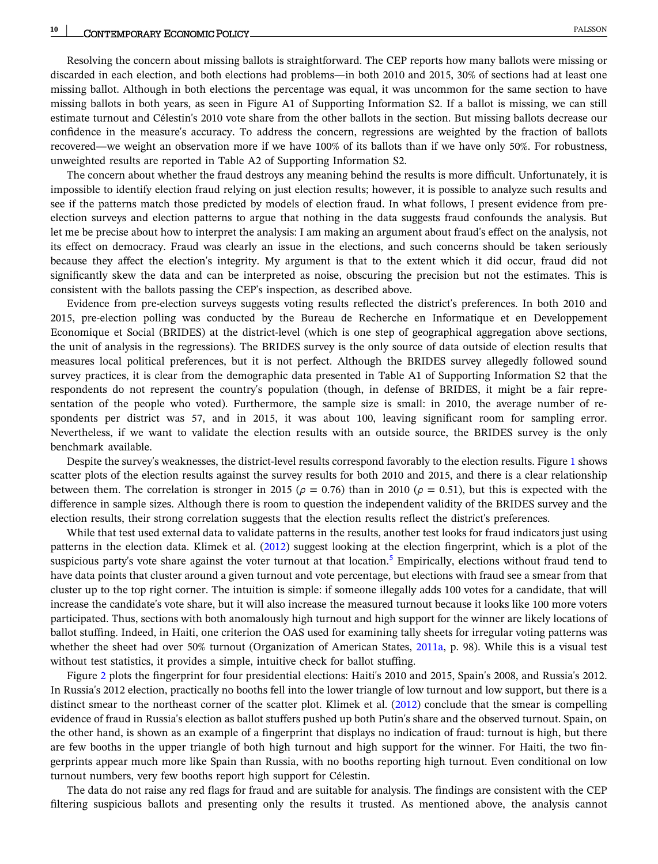Resolving the concern about missing ballots is straightforward. The CEP reports how many ballots were missing or discarded in each election, and both elections had problems—in both 2010 and 2015, 30% of sections had at least one missing ballot. Although in both elections the percentage was equal, it was uncommon for the same section to have missing ballots in both years, as seen in Figure A1 of Supporting Information S2. If a ballot is missing, we can still estimate turnout and Célestin's 2010 vote share from the other ballots in the section. But missing ballots decrease our confidence in the measure's accuracy. To address the concern, regressions are weighted by the fraction of ballots recovered—we weight an observation more if we have 100% of its ballots than if we have only 50%. For robustness, unweighted results are reported in Table A2 of Supporting Information S2.

The concern about whether the fraud destroys any meaning behind the results is more difficult. Unfortunately, it is impossible to identify election fraud relying on just election results; however, it is possible to analyze such results and see if the patterns match those predicted by models of election fraud. In what follows, I present evidence from preelection surveys and election patterns to argue that nothing in the data suggests fraud confounds the analysis. But let me be precise about how to interpret the analysis: I am making an argument about fraud's effect on the analysis, not its effect on democracy. Fraud was clearly an issue in the elections, and such concerns should be taken seriously because they affect the election's integrity. My argument is that to the extent which it did occur, fraud did not significantly skew the data and can be interpreted as noise, obscuring the precision but not the estimates. This is consistent with the ballots passing the CEP's inspection, as described above.

Evidence from pre‐election surveys suggests voting results reflected the district's preferences. In both 2010 and 2015, pre‐election polling was conducted by the Bureau de Recherche en Informatique et en Developpement Economique et Social (BRIDES) at the district-level (which is one step of geographical aggregation above sections, the unit of analysis in the regressions). The BRIDES survey is the only source of data outside of election results that measures local political preferences, but it is not perfect. Although the BRIDES survey allegedly followed sound survey practices, it is clear from the demographic data presented in Table A1 of Supporting Information S2 that the respondents do not represent the country's population (though, in defense of BRIDES, it might be a fair representation of the people who voted). Furthermore, the sample size is small: in 2010, the average number of respondents per district was 57, and in 2015, it was about 100, leaving significant room for sampling error. Nevertheless, if we want to validate the election results with an outside source, the BRIDES survey is the only benchmark available.

Despite the survey's weaknesses, the district-level results correspond favorably to the election results. Figure [1](#page-10-0) shows scatter plots of the election results against the survey results for both 2010 and 2015, and there is a clear relationship between them. The correlation is stronger in 2015 ( $\rho = 0.76$ ) than in 2010 ( $\rho = 0.51$ ), but this is expected with the difference in sample sizes. Although there is room to question the independent validity of the BRIDES survey and the election results, their strong correlation suggests that the election results reflect the district's preferences.

While that test used external data to validate patterns in the results, another test looks for fraud indicators just using patterns in the election data. Klimek et al. ([2012\)](#page-20-0) suggest looking at the election fingerprint, which is a plot of the suspicious party's vote share against the voter turnout at that location.<sup>[5](#page-19-0)</sup> Empirically, elections without fraud tend to have data points that cluster around a given turnout and vote percentage, but elections with fraud see a smear from that cluster up to the top right corner. The intuition is simple: if someone illegally adds 100 votes for a candidate, that will increase the candidate's vote share, but it will also increase the measured turnout because it looks like 100 more voters participated. Thus, sections with both anomalously high turnout and high support for the winner are likely locations of ballot stuffing. Indeed, in Haiti, one criterion the OAS used for examining tally sheets for irregular voting patterns was whether the sheet had over 50% turnout (Organization of American States, [2011a](#page-20-0), p. 98). While this is a visual test without test statistics, it provides a simple, intuitive check for ballot stuffing.

Figure [2](#page-11-0) plots the fingerprint for four presidential elections: Haiti's 2010 and 2015, Spain's 2008, and Russia's 2012. In Russia's 2012 election, practically no booths fell into the lower triangle of low turnout and low support, but there is a distinct smear to the northeast corner of the scatter plot. Klimek et al. ([2012](#page-20-0)) conclude that the smear is compelling evidence of fraud in Russia's election as ballot stuffers pushed up both Putin's share and the observed turnout. Spain, on the other hand, is shown as an example of a fingerprint that displays no indication of fraud: turnout is high, but there are few booths in the upper triangle of both high turnout and high support for the winner. For Haiti, the two fingerprints appear much more like Spain than Russia, with no booths reporting high turnout. Even conditional on low turnout numbers, very few booths report high support for Célestin.

The data do not raise any red flags for fraud and are suitable for analysis. The findings are consistent with the CEP filtering suspicious ballots and presenting only the results it trusted. As mentioned above, the analysis cannot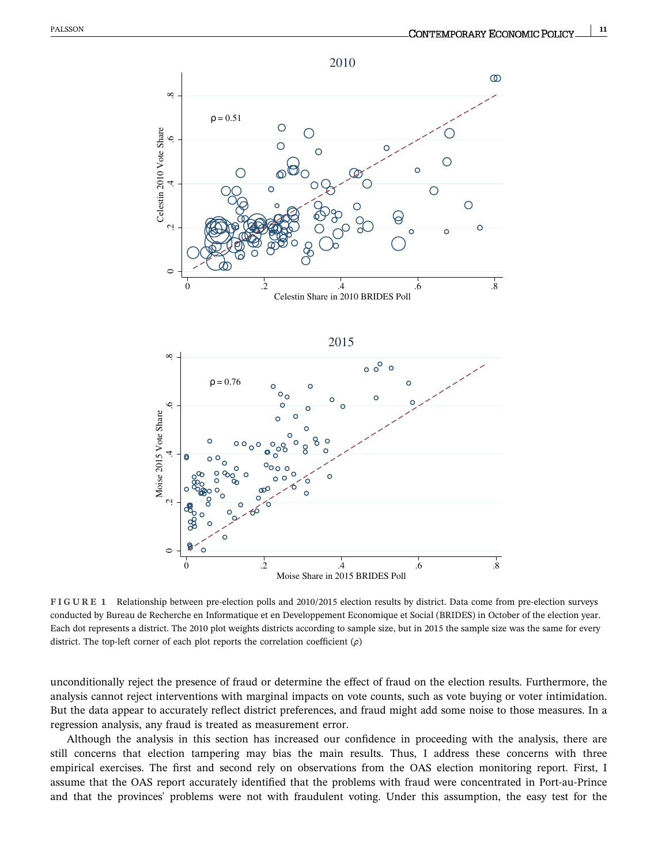<span id="page-10-0"></span>



**FIGURE 1** Relationship between pre‐election polls and 2010/2015 election results by district. Data come from pre‐election surveys conducted by Bureau de Recherche en Informatique et en Developpement Economique et Social (BRIDES) in October of the election year. Each dot represents a district. The 2010 plot weights districts according to sample size, but in 2015 the sample size was the same for every district. The top‐left corner of each plot reports the correlation coefficient (*ρ*)

unconditionally reject the presence of fraud or determine the effect of fraud on the election results. Furthermore, the analysis cannot reject interventions with marginal impacts on vote counts, such as vote buying or voter intimidation. But the data appear to accurately reflect district preferences, and fraud might add some noise to those measures. In a regression analysis, any fraud is treated as measurement error.

Although the analysis in this section has increased our confidence in proceeding with the analysis, there are still concerns that election tampering may bias the main results. Thus, I address these concerns with three empirical exercises. The first and second rely on observations from the OAS election monitoring report. First, I assume that the OAS report accurately identified that the problems with fraud were concentrated in Port‐au‐Prince and that the provinces' problems were not with fraudulent voting. Under this assumption, the easy test for the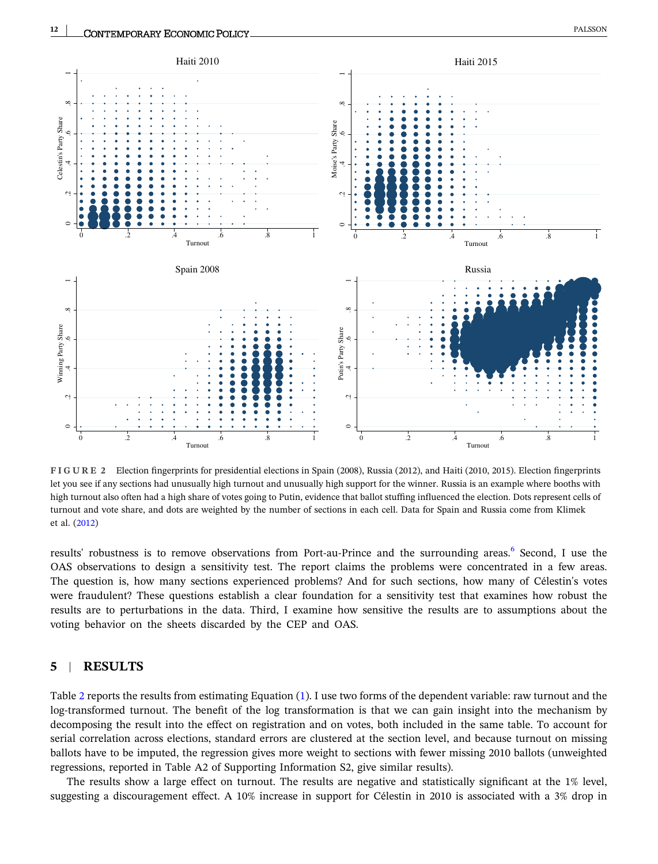<span id="page-11-0"></span>

**FIGURE 2** Election fingerprints for presidential elections in Spain (2008), Russia (2012), and Haiti (2010, 2015). Election fingerprints let you see if any sections had unusually high turnout and unusually high support for the winner. Russia is an example where booths with high turnout also often had a high share of votes going to Putin, evidence that ballot stuffing influenced the election. Dots represent cells of turnout and vote share, and dots are weighted by the number of sections in each cell. Data for Spain and Russia come from Klimek et al. [\(2012](#page-20-0))

results' robustness is to remove observations from Port-au-Prince and the surrounding areas.<sup>[6](#page-19-0)</sup> Second, I use the OAS observations to design a sensitivity test. The report claims the problems were concentrated in a few areas. The question is, how many sections experienced problems? And for such sections, how many of Célestin's votes were fraudulent? These questions establish a clear foundation for a sensitivity test that examines how robust the results are to perturbations in the data. Third, I examine how sensitive the results are to assumptions about the voting behavior on the sheets discarded by the CEP and OAS.

### **5** <sup>|</sup> **RESULTS**

Table [2](#page-12-0) reports the results from estimating Equation ([1](#page-7-0)). I use two forms of the dependent variable: raw turnout and the log-transformed turnout. The benefit of the log transformation is that we can gain insight into the mechanism by decomposing the result into the effect on registration and on votes, both included in the same table. To account for serial correlation across elections, standard errors are clustered at the section level, and because turnout on missing ballots have to be imputed, the regression gives more weight to sections with fewer missing 2010 ballots (unweighted regressions, reported in Table A2 of Supporting Information S2, give similar results).

The results show a large effect on turnout. The results are negative and statistically significant at the 1% level, suggesting a discouragement effect. A 10% increase in support for Célestin in 2010 is associated with a 3% drop in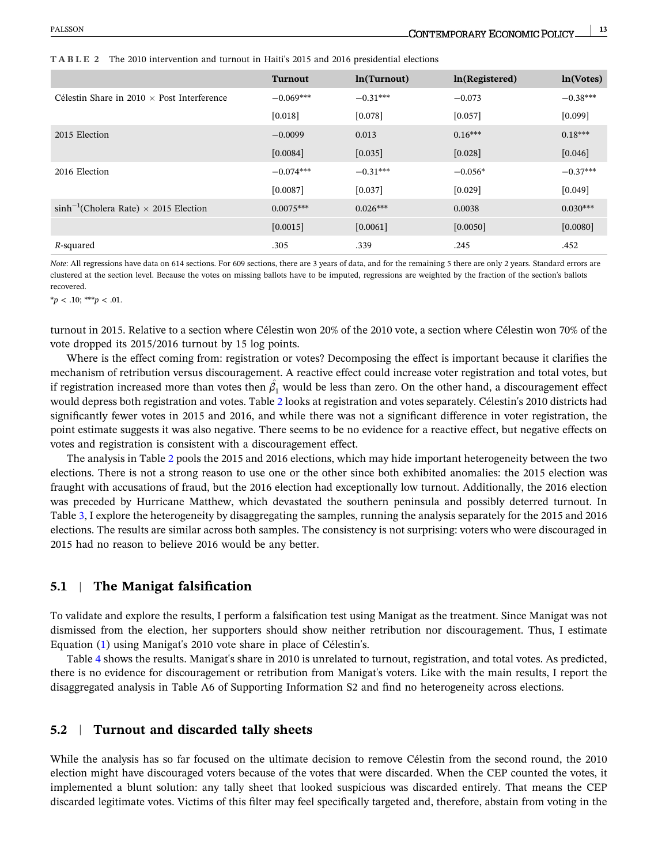|                                                   | <b>Turnout</b> | ln(Turnout) | ln(Registered) | ln(Votes)  |
|---------------------------------------------------|----------------|-------------|----------------|------------|
| Célestin Share in $2010 \times$ Post Interference | $-0.069***$    | $-0.31***$  | $-0.073$       | $-0.38***$ |
|                                                   | $[0.018]$      | [0.078]     | [0.057]        | [0.099]    |
| 2015 Election                                     | $-0.0099$      | 0.013       | $0.16***$      | $0.18***$  |
|                                                   | [0.0084]       | [0.035]     | $[0.028]$      | [0.046]    |
| 2016 Election                                     | $-0.074***$    | $-0.31***$  | $-0.056*$      | $-0.37***$ |
|                                                   | [0.0087]       | [0.037]     | [0.029]        | [0.049]    |
| $sinh^{-1}(Cholera Rate) \times 2015$ Election    | $0.0075***$    | $0.026***$  | 0.0038         | $0.030***$ |
|                                                   | [0.0015]       | [0.0061]    | [0.0050]       | [0.0080]   |
| R-squared                                         | .305           | .339        | .245           | .452       |

<span id="page-12-0"></span>**TABLE 2** The 2010 intervention and turnout in Haiti's 2015 and 2016 presidential elections

*Note*: All regressions have data on 614 sections. For 609 sections, there are 3 years of data, and for the remaining 5 there are only 2 years. Standard errors are clustered at the section level. Because the votes on missing ballots have to be imputed, regressions are weighted by the fraction of the section's ballots recovered.

 $**p* < .10; ***p* < .01.$ 

turnout in 2015. Relative to a section where Célestin won 20% of the 2010 vote, a section where Célestin won 70% of the vote dropped its 2015/2016 turnout by 15 log points.

Where is the effect coming from: registration or votes? Decomposing the effect is important because it clarifies the mechanism of retribution versus discouragement. A reactive effect could increase voter registration and total votes, but if registration increased more than votes then  $\hat{\beta_1}$  would be less than zero. On the other hand, a discouragement effect would depress both registration and votes. Table 2 looks at registration and votes separately. Célestin's 2010 districts had significantly fewer votes in 2015 and 2016, and while there was not a significant difference in voter registration, the point estimate suggests it was also negative. There seems to be no evidence for a reactive effect, but negative effects on votes and registration is consistent with a discouragement effect.

The analysis in Table 2 pools the 2015 and 2016 elections, which may hide important heterogeneity between the two elections. There is not a strong reason to use one or the other since both exhibited anomalies: the 2015 election was fraught with accusations of fraud, but the 2016 election had exceptionally low turnout. Additionally, the 2016 election was preceded by Hurricane Matthew, which devastated the southern peninsula and possibly deterred turnout. In Table [3](#page-13-0), I explore the heterogeneity by disaggregating the samples, running the analysis separately for the 2015 and 2016 elections. The results are similar across both samples. The consistency is not surprising: voters who were discouraged in 2015 had no reason to believe 2016 would be any better.

#### **5.1** <sup>|</sup> **The Manigat falsification**

To validate and explore the results, I perform a falsification test using Manigat as the treatment. Since Manigat was not dismissed from the election, her supporters should show neither retribution nor discouragement. Thus, I estimate Equation [\(1\)](#page-7-0) using Manigat's 2010 vote share in place of Célestin's.

Table [4](#page-13-0) shows the results. Manigat's share in 2010 is unrelated to turnout, registration, and total votes. As predicted, there is no evidence for discouragement or retribution from Manigat's voters. Like with the main results, I report the disaggregated analysis in Table A6 of Supporting Information S2 and find no heterogeneity across elections.

#### **5.2** <sup>|</sup> **Turnout and discarded tally sheets**

While the analysis has so far focused on the ultimate decision to remove Célestin from the second round, the 2010 election might have discouraged voters because of the votes that were discarded. When the CEP counted the votes, it implemented a blunt solution: any tally sheet that looked suspicious was discarded entirely. That means the CEP discarded legitimate votes. Victims of this filter may feel specifically targeted and, therefore, abstain from voting in the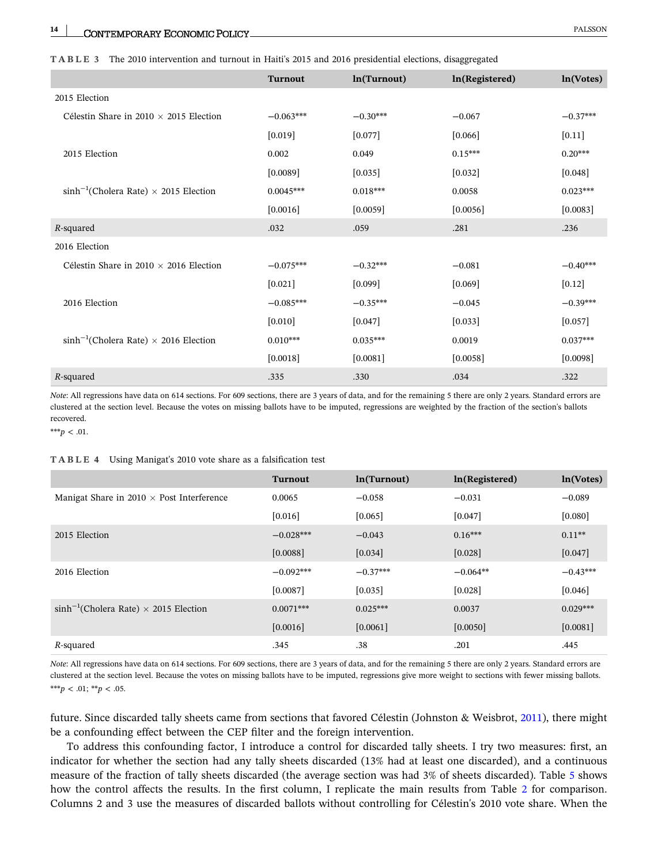<span id="page-13-0"></span>

|                                                | <b>Turnout</b> | ln(Turnout) | ln(Registered) | ln(Votes)  |
|------------------------------------------------|----------------|-------------|----------------|------------|
| 2015 Election                                  |                |             |                |            |
| Célestin Share in 2010 $\times$ 2015 Election  | $-0.063***$    | $-0.30***$  | $-0.067$       | $-0.37***$ |
|                                                | [0.019]        | $[0.077]$   | [0.066]        | $[0.11]$   |
| 2015 Election                                  | 0.002          | 0.049       | $0.15***$      | $0.20***$  |
|                                                | [0.0089]       | [0.035]     | $[0.032]$      | [0.048]    |
| $sinh^{-1}(Cholera Rate) \times 2015$ Election | $0.0045***$    | $0.018***$  | 0.0058         | $0.023***$ |
|                                                | [0.0016]       | [0.0059]    | [0.0056]       | [0.0083]   |
| R-squared                                      | .032           | .059        | .281           | .236       |
| 2016 Election                                  |                |             |                |            |
| Célestin Share in 2010 $\times$ 2016 Election  | $-0.075***$    | $-0.32***$  | $-0.081$       | $-0.40***$ |
|                                                | $[0.021]$      | $[0.099]$   | $[0.069]$      | $[0.12]$   |
| 2016 Election                                  | $-0.085***$    | $-0.35***$  | $-0.045$       | $-0.39***$ |
|                                                | [0.010]        | $[0.047]$   | $[0.033]$      | $[0.057]$  |
| $sinh^{-1}(Cholera Rate) \times 2016$ Election | $0.010***$     | $0.035***$  | 0.0019         | $0.037***$ |
|                                                | $[0.0018]$     | $[0.0081]$  | $[0.0058]$     | [0.0098]   |
| R-squared                                      | .335           | .330        | .034           | .322       |

*Note*: All regressions have data on 614 sections. For 609 sections, there are 3 years of data, and for the remaining 5 there are only 2 years. Standard errors are clustered at the section level. Because the votes on missing ballots have to be imputed, regressions are weighted by the fraction of the section's ballots recovered.

\*\*\**p* < .01.

#### **TABLE 4** Using Manigat's 2010 vote share as a falsification test

|                                                  | <b>Turnout</b> | ln(Turnout) | ln(Registered) | ln(Votes)  |
|--------------------------------------------------|----------------|-------------|----------------|------------|
| Manigat Share in $2010 \times$ Post Interference | 0.0065         | $-0.058$    | $-0.031$       | $-0.089$   |
|                                                  | [0.016]        | [0.065]     | [0.047]        | [0.080]    |
| 2015 Election                                    | $-0.028***$    | $-0.043$    | $0.16***$      | $0.11**$   |
|                                                  | [0.0088]       | [0.034]     | [0.028]        | [0.047]    |
| 2016 Election                                    | $-0.092***$    | $-0.37***$  | $-0.064**$     | $-0.43***$ |
|                                                  | [0.0087]       | [0.035]     | $[0.028]$      | [0.046]    |
| $\sinh^{-1}$ (Cholera Rate) × 2015 Election      | $0.0071***$    | $0.025***$  | 0.0037         | $0.029***$ |
|                                                  | [0.0016]       | [0.0061]    | [0.0050]       | [0.0081]   |
| R-squared                                        | .345           | .38         | .201           | .445       |

*Note*: All regressions have data on 614 sections. For 609 sections, there are 3 years of data, and for the remaining 5 there are only 2 years. Standard errors are clustered at the section level. Because the votes on missing ballots have to be imputed, regressions give more weight to sections with fewer missing ballots. \*\*\**p* < .01; \*\**p* < .05.

future. Since discarded tally sheets came from sections that favored Célestin (Johnston & Weisbrot, [2011\)](#page-20-0), there might be a confounding effect between the CEP filter and the foreign intervention.

To address this confounding factor, I introduce a control for discarded tally sheets. I try two measures: first, an indicator for whether the section had any tally sheets discarded (13% had at least one discarded), and a continuous measure of the fraction of tally sheets discarded (the average section was had 3% of sheets discarded). Table [5](#page-14-0) shows how the control affects the results. In the first column, I replicate the main results from Table [2](#page-12-0) for comparison. Columns 2 and 3 use the measures of discarded ballots without controlling for Célestin's 2010 vote share. When the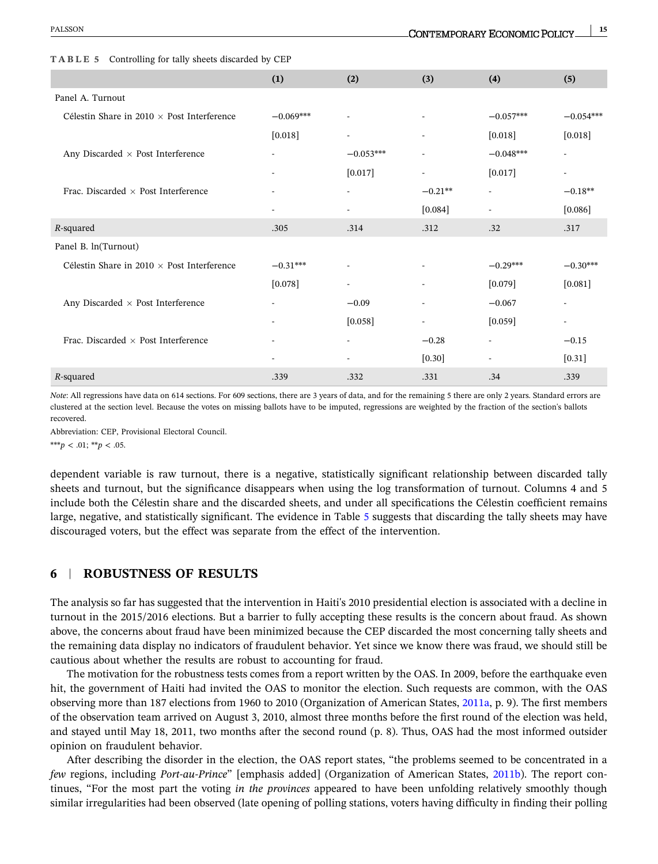|                                                   | (1)                      | (2)                      | (3)                      | (4)                      | (5)                      |
|---------------------------------------------------|--------------------------|--------------------------|--------------------------|--------------------------|--------------------------|
| Panel A. Turnout                                  |                          |                          |                          |                          |                          |
| Célestin Share in 2010 $\times$ Post Interference | $-0.069***$              | $\overline{\phantom{a}}$ | $\overline{\phantom{a}}$ | $-0.057***$              | $-0.054***$              |
|                                                   | $[0.018]$                |                          | $\overline{\phantom{0}}$ | $[0.018]$                | $[0.018]$                |
| Any Discarded $\times$ Post Interference          | $\overline{\phantom{a}}$ | $-0.053***$              |                          | $-0.048***$              | $\overline{a}$           |
|                                                   | $\overline{\phantom{a}}$ | $[0.017]$                | $\overline{\phantom{0}}$ | $[0.017]$                | $\overline{\phantom{a}}$ |
| Frac. Discarded $\times$ Post Interference        |                          |                          | $-0.21**$                | $\overline{\phantom{a}}$ | $-0.18**$                |
|                                                   |                          |                          | $[0.084]$                | $\overline{\phantom{a}}$ | [0.086]                  |
| R-squared                                         | .305                     | .314                     | .312                     | .32                      | .317                     |
| Panel B. ln(Turnout)                              |                          |                          |                          |                          |                          |
| Célestin Share in 2010 $\times$ Post Interference | $-0.31***$               |                          | $\overline{\phantom{a}}$ | $-0.29***$               | $-0.30***$               |
|                                                   | [0.078]                  |                          | $\overline{\phantom{0}}$ | [0.079]                  | $[0.081]$                |
| Any Discarded $\times$ Post Interference          |                          | $-0.09$                  | $\overline{a}$           | $-0.067$                 | $\overline{\phantom{a}}$ |
|                                                   | $\overline{\phantom{a}}$ | [0.058]                  | $\overline{a}$           | $[0.059]$                | $\overline{\phantom{a}}$ |
| Frac. Discarded $\times$ Post Interference        |                          |                          | $-0.28$                  | $\overline{\phantom{a}}$ | $-0.15$                  |
|                                                   | $\blacksquare$           |                          | $[0.30]$                 | $\overline{\phantom{a}}$ | $[0.31]$                 |
| R-squared                                         | .339                     | .332                     | .331                     | .34                      | .339                     |

<span id="page-14-0"></span>**TABLE 5** Controlling for tally sheets discarded by CEP

*Note*: All regressions have data on 614 sections. For 609 sections, there are 3 years of data, and for the remaining 5 there are only 2 years. Standard errors are clustered at the section level. Because the votes on missing ballots have to be imputed, regressions are weighted by the fraction of the section's ballots recovered.

Abbreviation: CEP, Provisional Electoral Council.

\*\*\**p* < .01; \*\**p* < .05.

dependent variable is raw turnout, there is a negative, statistically significant relationship between discarded tally sheets and turnout, but the significance disappears when using the log transformation of turnout. Columns 4 and 5 include both the Célestin share and the discarded sheets, and under all specifications the Célestin coefficient remains large, negative, and statistically significant. The evidence in Table 5 suggests that discarding the tally sheets may have discouraged voters, but the effect was separate from the effect of the intervention.

### **6** <sup>|</sup> **ROBUSTNESS OF RESULTS**

The analysis so far has suggested that the intervention in Haiti's 2010 presidential election is associated with a decline in turnout in the 2015/2016 elections. But a barrier to fully accepting these results is the concern about fraud. As shown above, the concerns about fraud have been minimized because the CEP discarded the most concerning tally sheets and the remaining data display no indicators of fraudulent behavior. Yet since we know there was fraud, we should still be cautious about whether the results are robust to accounting for fraud.

The motivation for the robustness tests comes from a report written by the OAS. In 2009, before the earthquake even hit, the government of Haiti had invited the OAS to monitor the election. Such requests are common, with the OAS observing more than 187 elections from 1960 to 2010 (Organization of American States, [2011a](#page-20-0), p. 9). The first members of the observation team arrived on August 3, 2010, almost three months before the first round of the election was held, and stayed until May 18, 2011, two months after the second round (p. 8). Thus, OAS had the most informed outsider opinion on fraudulent behavior.

After describing the disorder in the election, the OAS report states, "the problems seemed to be concentrated in a *few* regions, including *Port-au-Prince*" [emphasis added] (Organization of American States, [2011b](#page-20-0)). The report continues, "For the most part the voting *in the provinces* appeared to have been unfolding relatively smoothly though similar irregularities had been observed (late opening of polling stations, voters having difficulty in finding their polling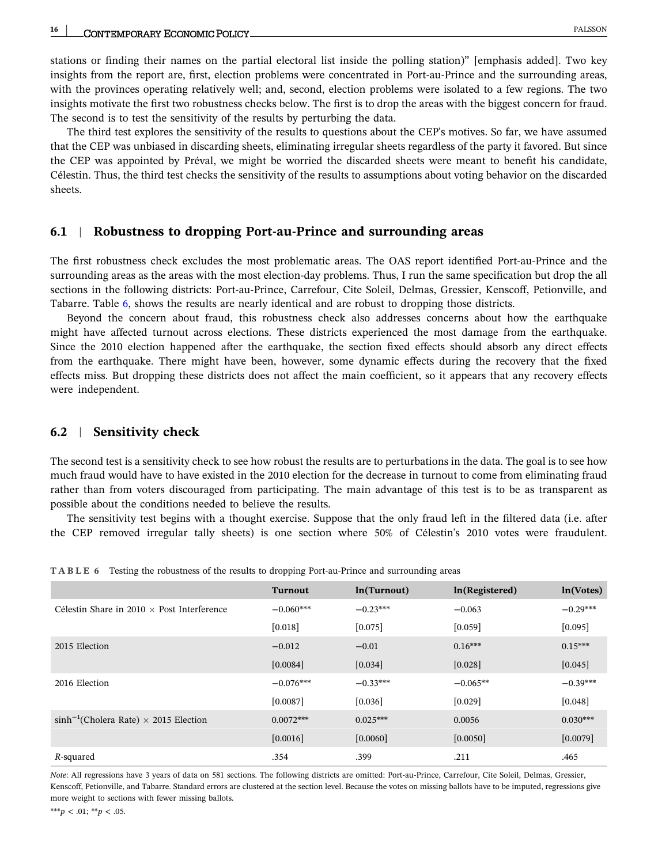stations or finding their names on the partial electoral list inside the polling station)" [emphasis added]. Two key insights from the report are, first, election problems were concentrated in Port-au-Prince and the surrounding areas, with the provinces operating relatively well; and, second, election problems were isolated to a few regions. The two insights motivate the first two robustness checks below. The first is to drop the areas with the biggest concern for fraud. The second is to test the sensitivity of the results by perturbing the data.

The third test explores the sensitivity of the results to questions about the CEP's motives. So far, we have assumed that the CEP was unbiased in discarding sheets, eliminating irregular sheets regardless of the party it favored. But since the CEP was appointed by Préval, we might be worried the discarded sheets were meant to benefit his candidate, Célestin. Thus, the third test checks the sensitivity of the results to assumptions about voting behavior on the discarded sheets.

#### **6.1** <sup>|</sup> **Robustness to dropping Port‐au‐Prince and surrounding areas**

The first robustness check excludes the most problematic areas. The OAS report identified Port‐au‐Prince and the surrounding areas as the areas with the most election-day problems. Thus, I run the same specification but drop the all sections in the following districts: Port‐au‐Prince, Carrefour, Cite Soleil, Delmas, Gressier, Kenscoff, Petionville, and Tabarre. Table 6, shows the results are nearly identical and are robust to dropping those districts.

Beyond the concern about fraud, this robustness check also addresses concerns about how the earthquake might have affected turnout across elections. These districts experienced the most damage from the earthquake. Since the 2010 election happened after the earthquake, the section fixed effects should absorb any direct effects from the earthquake. There might have been, however, some dynamic effects during the recovery that the fixed effects miss. But dropping these districts does not affect the main coefficient, so it appears that any recovery effects were independent.

#### **6.2** <sup>|</sup> **Sensitivity check**

The second test is a sensitivity check to see how robust the results are to perturbations in the data. The goal is to see how much fraud would have to have existed in the 2010 election for the decrease in turnout to come from eliminating fraud rather than from voters discouraged from participating. The main advantage of this test is to be as transparent as possible about the conditions needed to believe the results.

The sensitivity test begins with a thought exercise. Suppose that the only fraud left in the filtered data (i.e. after the CEP removed irregular tally sheets) is one section where 50% of Célestin's 2010 votes were fraudulent.

|                                                   | <b>Turnout</b> | ln(Turnout) | ln(Registered) | ln(Votes)  |
|---------------------------------------------------|----------------|-------------|----------------|------------|
| Célestin Share in $2010 \times$ Post Interference | $-0.060***$    | $-0.23***$  | $-0.063$       | $-0.29***$ |
|                                                   | [0.018]        | [0.075]     | [0.059]        | [0.095]    |
| 2015 Election                                     | $-0.012$       | $-0.01$     | $0.16***$      | $0.15***$  |
|                                                   | [0.0084]       | [0.034]     | [0.028]        | [0.045]    |
| 2016 Election                                     | $-0.076***$    | $-0.33***$  | $-0.065**$     | $-0.39***$ |
|                                                   | [0.0087]       | [0.036]     | [0.029]        | [0.048]    |
| $\sinh^{-1}$ (Cholera Rate) × 2015 Election       | $0.0072***$    | $0.025***$  | 0.0056         | $0.030***$ |
|                                                   | [0.0016]       | [0.0060]    | [0.0050]       | [0.0079]   |
| R-squared                                         | .354           | .399        | .211           | .465       |

**TABLE 6** Testing the robustness of the results to dropping Port‐au‐Prince and surrounding areas

*Note*: All regressions have 3 years of data on 581 sections. The following districts are omitted: Port-au-Prince, Carrefour, Cite Soleil, Delmas, Gressier, Kenscoff, Petionville, and Tabarre. Standard errors are clustered at the section level. Because the votes on missing ballots have to be imputed, regressions give more weight to sections with fewer missing ballots.

\*\*\**p* < .01; \*\**p* < .05.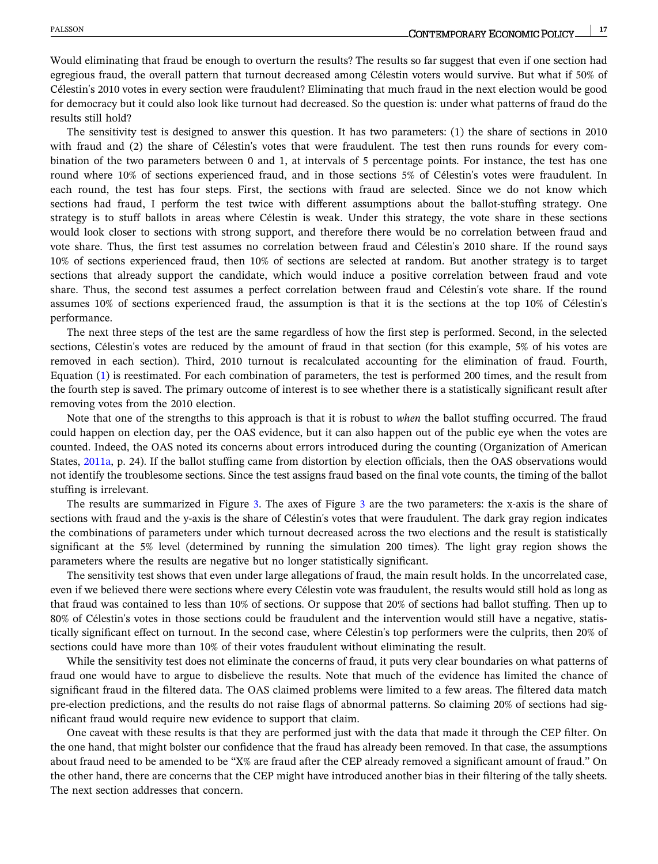Would eliminating that fraud be enough to overturn the results? The results so far suggest that even if one section had egregious fraud, the overall pattern that turnout decreased among Célestin voters would survive. But what if 50% of Célestin's 2010 votes in every section were fraudulent? Eliminating that much fraud in the next election would be good for democracy but it could also look like turnout had decreased. So the question is: under what patterns of fraud do the results still hold?

The sensitivity test is designed to answer this question. It has two parameters: (1) the share of sections in 2010 with fraud and (2) the share of Célestin's votes that were fraudulent. The test then runs rounds for every combination of the two parameters between 0 and 1, at intervals of 5 percentage points. For instance, the test has one round where 10% of sections experienced fraud, and in those sections 5% of Célestin's votes were fraudulent. In each round, the test has four steps. First, the sections with fraud are selected. Since we do not know which sections had fraud, I perform the test twice with different assumptions about the ballot-stuffing strategy. One strategy is to stuff ballots in areas where Célestin is weak. Under this strategy, the vote share in these sections would look closer to sections with strong support, and therefore there would be no correlation between fraud and vote share. Thus, the first test assumes no correlation between fraud and Célestin's 2010 share. If the round says 10% of sections experienced fraud, then 10% of sections are selected at random. But another strategy is to target sections that already support the candidate, which would induce a positive correlation between fraud and vote share. Thus, the second test assumes a perfect correlation between fraud and Célestin's vote share. If the round assumes 10% of sections experienced fraud, the assumption is that it is the sections at the top 10% of Célestin's performance.

The next three steps of the test are the same regardless of how the first step is performed. Second, in the selected sections, Célestin's votes are reduced by the amount of fraud in that section (for this example, 5% of his votes are removed in each section). Third, 2010 turnout is recalculated accounting for the elimination of fraud. Fourth, Equation ([1\)](#page-7-0) is reestimated. For each combination of parameters, the test is performed 200 times, and the result from the fourth step is saved. The primary outcome of interest is to see whether there is a statistically significant result after removing votes from the 2010 election.

Note that one of the strengths to this approach is that it is robust to *when* the ballot stuffing occurred. The fraud could happen on election day, per the OAS evidence, but it can also happen out of the public eye when the votes are counted. Indeed, the OAS noted its concerns about errors introduced during the counting (Organization of American States, [2011a](#page-20-0), p. 24). If the ballot stuffing came from distortion by election officials, then the OAS observations would not identify the troublesome sections. Since the test assigns fraud based on the final vote counts, the timing of the ballot stuffing is irrelevant.

The results are summarized in Figure [3](#page-17-0). The axes of Figure 3 are the two parameters: the x-axis is the share of sections with fraud and the y-axis is the share of Célestin's votes that were fraudulent. The dark gray region indicates the combinations of parameters under which turnout decreased across the two elections and the result is statistically significant at the 5% level (determined by running the simulation 200 times). The light gray region shows the parameters where the results are negative but no longer statistically significant.

The sensitivity test shows that even under large allegations of fraud, the main result holds. In the uncorrelated case, even if we believed there were sections where every Célestin vote was fraudulent, the results would still hold as long as that fraud was contained to less than 10% of sections. Or suppose that 20% of sections had ballot stuffing. Then up to 80% of Célestin's votes in those sections could be fraudulent and the intervention would still have a negative, statistically significant effect on turnout. In the second case, where Célestin's top performers were the culprits, then 20% of sections could have more than 10% of their votes fraudulent without eliminating the result.

While the sensitivity test does not eliminate the concerns of fraud, it puts very clear boundaries on what patterns of fraud one would have to argue to disbelieve the results. Note that much of the evidence has limited the chance of significant fraud in the filtered data. The OAS claimed problems were limited to a few areas. The filtered data match pre-election predictions, and the results do not raise flags of abnormal patterns. So claiming 20% of sections had significant fraud would require new evidence to support that claim.

One caveat with these results is that they are performed just with the data that made it through the CEP filter. On the one hand, that might bolster our confidence that the fraud has already been removed. In that case, the assumptions about fraud need to be amended to be "X% are fraud after the CEP already removed a significant amount of fraud." On the other hand, there are concerns that the CEP might have introduced another bias in their filtering of the tally sheets. The next section addresses that concern.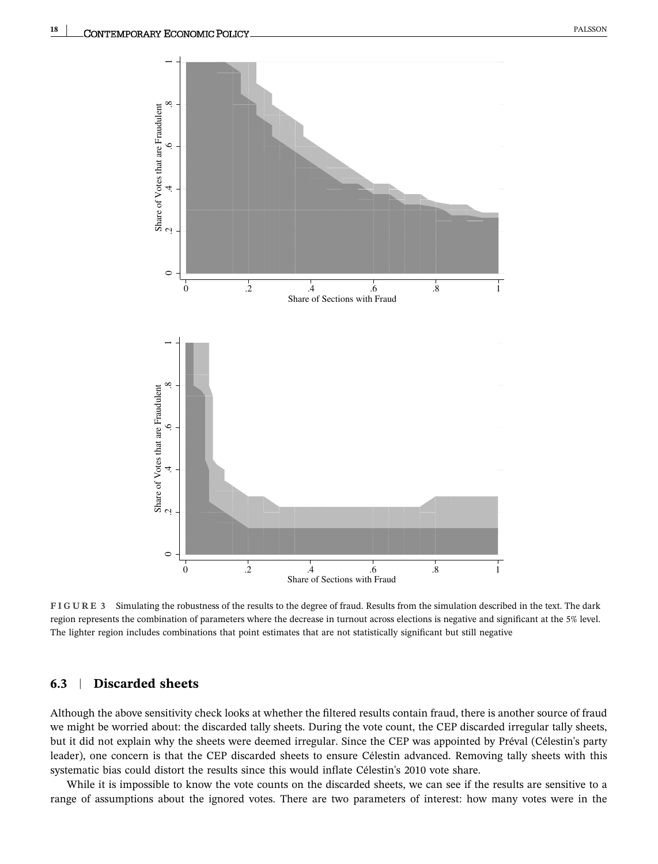<span id="page-17-0"></span>

**FIGURE 3** Simulating the robustness of the results to the degree of fraud. Results from the simulation described in the text. The dark region represents the combination of parameters where the decrease in turnout across elections is negative and significant at the 5% level. The lighter region includes combinations that point estimates that are not statistically significant but still negative

### **6.3** <sup>|</sup> **Discarded sheets**

Although the above sensitivity check looks at whether the filtered results contain fraud, there is another source of fraud we might be worried about: the discarded tally sheets. During the vote count, the CEP discarded irregular tally sheets, but it did not explain why the sheets were deemed irregular. Since the CEP was appointed by Préval (Célestin's party leader), one concern is that the CEP discarded sheets to ensure Célestin advanced. Removing tally sheets with this systematic bias could distort the results since this would inflate Célestin's 2010 vote share.

While it is impossible to know the vote counts on the discarded sheets, we can see if the results are sensitive to a range of assumptions about the ignored votes. There are two parameters of interest: how many votes were in the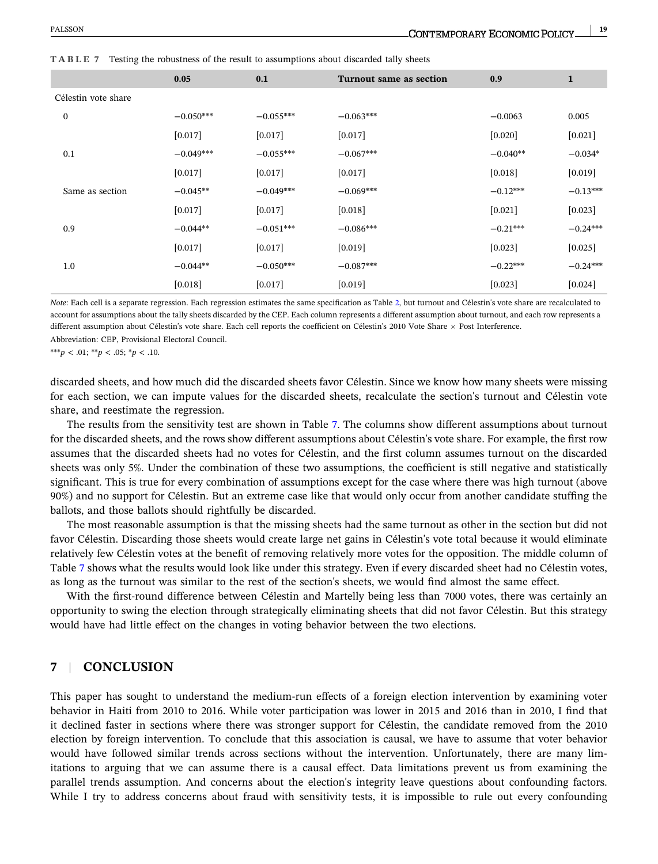|                     | 0.05        | 0.1         | <b>Turnout same as section</b> | 0.9        | $\mathbf{1}$ |
|---------------------|-------------|-------------|--------------------------------|------------|--------------|
| Célestin vote share |             |             |                                |            |              |
| $\mathbf{0}$        | $-0.050***$ | $-0.055***$ | $-0.063***$                    | $-0.0063$  | 0.005        |
|                     | [0.017]     | $[0.017]$   | [0.017]                        | $[0.020]$  | $[0.021]$    |
| 0.1                 | $-0.049***$ | $-0.055***$ | $-0.067***$                    | $-0.040**$ | $-0.034*$    |
|                     | [0.017]     | [0.017]     | $[0.017]$                      | [0.018]    | [0.019]      |
| Same as section     | $-0.045**$  | $-0.049***$ | $-0.069***$                    | $-0.12***$ | $-0.13***$   |
|                     | [0.017]     | [0.017]     | $[0.018]$                      | [0.021]    | [0.023]      |
| 0.9                 | $-0.044**$  | $-0.051***$ | $-0.086***$                    | $-0.21***$ | $-0.24***$   |
|                     | [0.017]     | [0.017]     | [0.019]                        | [0.023]    | $[0.025]$    |
| 1.0                 | $-0.044**$  | $-0.050***$ | $-0.087***$                    | $-0.22***$ | $-0.24***$   |
|                     | [0.018]     | [0.017]     | [0.019]                        | [0.023]    | [0.024]      |
|                     |             |             |                                |            |              |

**TABLE 7** Testing the robustness of the result to assumptions about discarded tally sheets

*Note*: Each cell is a separate regression. Each regression estimates the same specification as Table [2](#page-12-0), but turnout and Célestin's vote share are recalculated to account for assumptions about the tally sheets discarded by the CEP. Each column represents a different assumption about turnout, and each row represents a different assumption about Célestin's vote share. Each cell reports the coefficient on Célestin's 2010 Vote Share  $\times$  Post Interference. Abbreviation: CEP, Provisional Electoral Council.

\*\*\**p* < .01; \*\**p* < .05; \**p* < .10.

discarded sheets, and how much did the discarded sheets favor Célestin. Since we know how many sheets were missing for each section, we can impute values for the discarded sheets, recalculate the section's turnout and Célestin vote share, and reestimate the regression.

The results from the sensitivity test are shown in Table 7. The columns show different assumptions about turnout for the discarded sheets, and the rows show different assumptions about Célestin's vote share. For example, the first row assumes that the discarded sheets had no votes for Célestin, and the first column assumes turnout on the discarded sheets was only 5%. Under the combination of these two assumptions, the coefficient is still negative and statistically significant. This is true for every combination of assumptions except for the case where there was high turnout (above 90%) and no support for Célestin. But an extreme case like that would only occur from another candidate stuffing the ballots, and those ballots should rightfully be discarded.

The most reasonable assumption is that the missing sheets had the same turnout as other in the section but did not favor Célestin. Discarding those sheets would create large net gains in Célestin's vote total because it would eliminate relatively few Célestin votes at the benefit of removing relatively more votes for the opposition. The middle column of Table 7 shows what the results would look like under this strategy. Even if every discarded sheet had no Célestin votes, as long as the turnout was similar to the rest of the section's sheets, we would find almost the same effect.

With the first-round difference between Célestin and Martelly being less than 7000 votes, there was certainly an opportunity to swing the election through strategically eliminating sheets that did not favor Célestin. But this strategy would have had little effect on the changes in voting behavior between the two elections.

### **7** <sup>|</sup> **CONCLUSION**

This paper has sought to understand the medium-run effects of a foreign election intervention by examining voter behavior in Haiti from 2010 to 2016. While voter participation was lower in 2015 and 2016 than in 2010, I find that it declined faster in sections where there was stronger support for Célestin, the candidate removed from the 2010 election by foreign intervention. To conclude that this association is causal, we have to assume that voter behavior would have followed similar trends across sections without the intervention. Unfortunately, there are many limitations to arguing that we can assume there is a causal effect. Data limitations prevent us from examining the parallel trends assumption. And concerns about the election's integrity leave questions about confounding factors. While I try to address concerns about fraud with sensitivity tests, it is impossible to rule out every confounding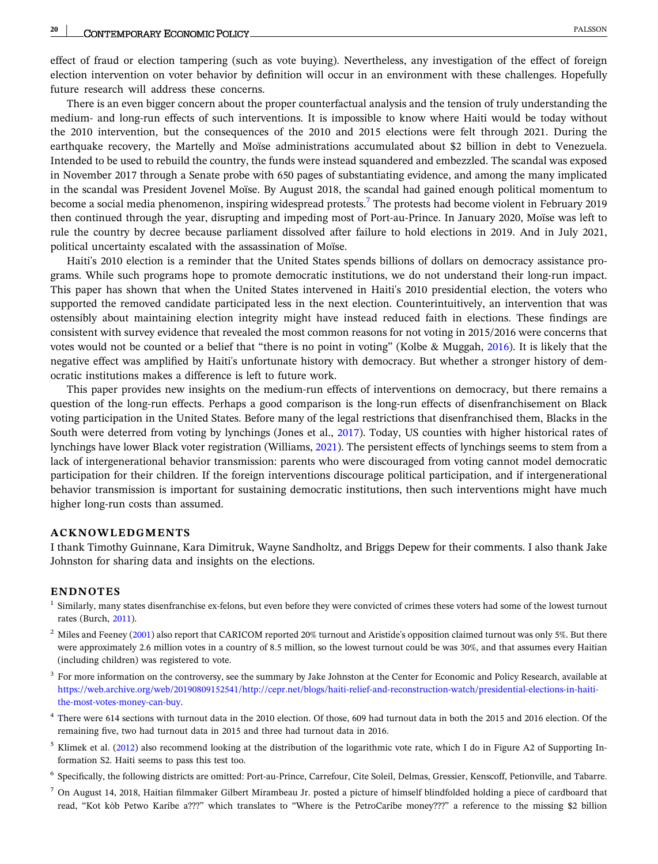<span id="page-19-0"></span>effect of fraud or election tampering (such as vote buying). Nevertheless, any investigation of the effect of foreign election intervention on voter behavior by definition will occur in an environment with these challenges. Hopefully future research will address these concerns.

There is an even bigger concern about the proper counterfactual analysis and the tension of truly understanding the medium‐ and long‐run effects of such interventions. It is impossible to know where Haiti would be today without the 2010 intervention, but the consequences of the 2010 and 2015 elections were felt through 2021. During the earthquake recovery, the Martelly and Moïse administrations accumulated about \$2 billion in debt to Venezuela. Intended to be used to rebuild the country, the funds were instead squandered and embezzled. The scandal was exposed in November 2017 through a Senate probe with 650 pages of substantiating evidence, and among the many implicated in the scandal was President Jovenel Moïse. By August 2018, the scandal had gained enough political momentum to become a social media phenomenon, inspiring widespread protests.7 The protests had become violent in February 2019 then continued through the year, disrupting and impeding most of Port‐au‐Prince. In January 2020, Moïse was left to rule the country by decree because parliament dissolved after failure to hold elections in 2019. And in July 2021, political uncertainty escalated with the assassination of Moïse.

Haiti's 2010 election is a reminder that the United States spends billions of dollars on democracy assistance programs. While such programs hope to promote democratic institutions, we do not understand their long-run impact. This paper has shown that when the United States intervened in Haiti's 2010 presidential election, the voters who supported the removed candidate participated less in the next election. Counterintuitively, an intervention that was ostensibly about maintaining election integrity might have instead reduced faith in elections. These findings are consistent with survey evidence that revealed the most common reasons for not voting in 2015/2016 were concerns that votes would not be counted or a belief that "there is no point in voting" (Kolbe & Muggah, [2016\)](#page-20-0). It is likely that the negative effect was amplified by Haiti's unfortunate history with democracy. But whether a stronger history of democratic institutions makes a difference is left to future work.

This paper provides new insights on the medium‐run effects of interventions on democracy, but there remains a question of the long-run effects. Perhaps a good comparison is the long-run effects of disenfranchisement on Black voting participation in the United States. Before many of the legal restrictions that disenfranchised them, Blacks in the South were deterred from voting by lynchings (Jones et al., [2017](#page-20-0)). Today, US counties with higher historical rates of lynchings have lower Black voter registration (Williams, [2021](#page-21-0)). The persistent effects of lynchings seems to stem from a lack of intergenerational behavior transmission: parents who were discouraged from voting cannot model democratic participation for their children. If the foreign interventions discourage political participation, and if intergenerational behavior transmission is important for sustaining democratic institutions, then such interventions might have much higher long‐run costs than assumed.

#### **ACKNOWLEDGMENTS**

I thank Timothy Guinnane, Kara Dimitruk, Wayne Sandholtz, and Briggs Depew for their comments. I also thank Jake Johnston for sharing data and insights on the elections.

#### **ENDNOTES**

- <sup>1</sup> Similarly, many states disenfranchise ex-felons, but even before they were convicted of crimes these voters had some of the lowest turnout rates (Burch, [2011\)](#page-20-0).
- $^2$  Miles and Feeney [\(2001\)](#page-20-0) also report that CARICOM reported 20% turnout and Aristide's opposition claimed turnout was only 5%. But there were approximately 2.6 million votes in a country of 8.5 million, so the lowest turnout could be was 30%, and that assumes every Haitian (including children) was registered to vote.
- <sup>3</sup> For more information on the controversy, see the summary by Jake Johnston at the Center for Economic and Policy Research, available at https://web.archive.org/web/20190809152541/http://cepr.net/blogs/haiti-relief-and-reconstruction-watch/presidential-elections-in-haiti[the‐most‐votes‐money‐can‐buy.](https://web.archive.org/web/20190809152541/http://cepr.net/blogs/haiti-relief-and-reconstruction-watch/presidential-elections-in-haiti-the-most-votes-money-can-buy)
- <sup>4</sup> There were 614 sections with turnout data in the 2010 election. Of those, 609 had turnout data in both the 2015 and 2016 election. Of the remaining five, two had turnout data in 2015 and three had turnout data in 2016.
- $5$  Klimek et al. [\(2012](#page-20-0)) also recommend looking at the distribution of the logarithmic vote rate, which I do in Figure A2 of Supporting Information S2. Haiti seems to pass this test too.
- <sup>6</sup> Specifically, the following districts are omitted: Port‐au‐Prince, Carrefour, Cite Soleil, Delmas, Gressier, Kenscoff, Petionville, and Tabarre.
- $<sup>7</sup>$  On August 14, 2018, Haitian filmmaker Gilbert Mirambeau Jr. posted a picture of himself blindfolded holding a piece of cardboard that</sup> read, "Kot kòb Petwo Karibe a???" which translates to "Where is the PetroCaribe money???" a reference to the missing \$2 billion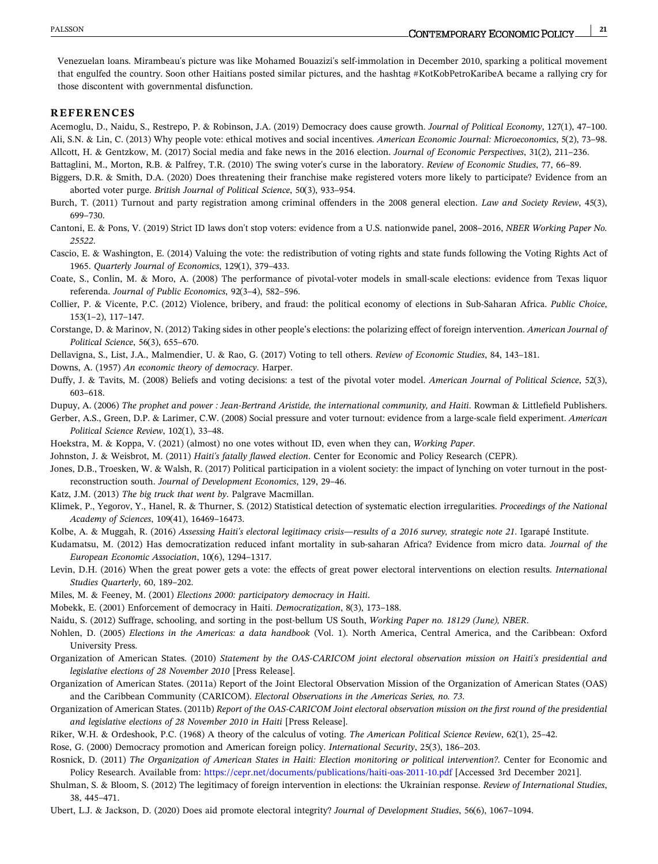<span id="page-20-0"></span>Venezuelan loans. Mirambeau's picture was like Mohamed Bouazizi's self‐immolation in December 2010, sparking a political movement that engulfed the country. Soon other Haitians posted similar pictures, and the hashtag #KotKobPetroKaribeA became a rallying cry for those discontent with governmental disfunction.

#### **REFERENCES**

Acemoglu, D., Naidu, S., Restrepo, P. & Robinson, J.A. (2019) Democracy does cause growth. *Journal of Political Economy*, 127(1), 47–100. Ali, S.N. & Lin, C. (2013) Why people vote: ethical motives and social incentives. *American Economic Journal: Microeconomics*, 5(2), 73–98. Allcott, H. & Gentzkow, M. (2017) Social media and fake news in the 2016 election. *Journal of Economic Perspectives*, 31(2), 211–236.

Battaglini, M., Morton, R.B. & Palfrey, T.R. (2010) The swing voter's curse in the laboratory. *Review of Economic Studies*, 77, 66–89.

- Biggers, D.R. & Smith, D.A. (2020) Does threatening their franchise make registered voters more likely to participate? Evidence from an aborted voter purge. *British Journal of Political Science*, 50(3), 933–954.
- Burch, T. (2011) Turnout and party registration among criminal offenders in the 2008 general election. *Law and Society Review*, 45(3), 699–730.
- Cantoni, E. & Pons, V. (2019) Strict ID laws don't stop voters: evidence from a U.S. nationwide panel, 2008–2016, *NBER Working Paper No. 25522*.

Cascio, E. & Washington, E. (2014) Valuing the vote: the redistribution of voting rights and state funds following the Voting Rights Act of 1965. *Quarterly Journal of Economics*, 129(1), 379–433.

Coate, S., Conlin, M. & Moro, A. (2008) The performance of pivotal‐voter models in small‐scale elections: evidence from Texas liquor referenda. *Journal of Public Economics*, 92(3–4), 582–596.

Collier, P. & Vicente, P.C. (2012) Violence, bribery, and fraud: the political economy of elections in Sub‐Saharan Africa. *Public Choice*, 153(1–2), 117–147.

Corstange, D. & Marinov, N. (2012) Taking sides in other people's elections: the polarizing effect of foreign intervention. *American Journal of Political Science*, 56(3), 655–670.

Dellavigna, S., List, J.A., Malmendier, U. & Rao, G. (2017) Voting to tell others. *Review of Economic Studies*, 84, 143–181.

Downs, A. (1957) *An economic theory of democracy*. Harper.

Duffy, J. & Tavits, M. (2008) Beliefs and voting decisions: a test of the pivotal voter model. *American Journal of Political Science*, 52(3), 603–618.

Dupuy, A. (2006) *The prophet and power : Jean‐Bertrand Aristide, the international community, and Haiti*. Rowman & Littlefield Publishers.

- Gerber, A.S., Green, D.P. & Larimer, C.W. (2008) Social pressure and voter turnout: evidence from a large-scale field experiment. *American Political Science Review*, 102(1), 33–48.
- Hoekstra, M. & Koppa, V. (2021) (almost) no one votes without ID, even when they can, *Working Paper*.
- Johnston, J. & Weisbrot, M. (2011) *Haiti's fatally flawed election*. Center for Economic and Policy Research (CEPR).

Jones, D.B., Troesken, W. & Walsh, R. (2017) Political participation in a violent society: the impact of lynching on voter turnout in the postreconstruction south. *Journal of Development Economics*, 129, 29–46.

- Katz, J.M. (2013) *The big truck that went by*. Palgrave Macmillan.
- Klimek, P., Yegorov, Y., Hanel, R. & Thurner, S. (2012) Statistical detection of systematic election irregularities. *Proceedings of the National Academy of Sciences*, 109(41), 16469–16473.
- Kolbe, A. & Muggah, R. (2016) *Assessing Haiti's electoral legitimacy crisis—results of a 2016 survey, strategic note 21*. Igarapé Institute.

Kudamatsu, M. (2012) Has democratization reduced infant mortality in sub‐saharan Africa? Evidence from micro data. *Journal of the European Economic Association*, 10(6), 1294–1317.

- Levin, D.H. (2016) When the great power gets a vote: the effects of great power electoral interventions on election results. *International Studies Quarterly*, 60, 189–202.
- Miles, M. & Feeney, M. (2001) *Elections 2000: participatory democracy in Haiti*.
- Mobekk, E. (2001) Enforcement of democracy in Haiti. *Democratization*, 8(3), 173–188.

Naidu, S. (2012) Suffrage, schooling, and sorting in the post‐bellum US South, *Working Paper no. 18129 (June), NBER*.

- Nohlen, D. (2005) *Elections in the Americas: a data handbook* (Vol. 1). North America, Central America, and the Caribbean: Oxford University Press.
- Organization of American States. (2010) *Statement by the OAS‐CARICOM joint electoral observation mission on Haiti's presidential and legislative elections of 28 November 2010* [Press Release].
- Organization of American States. (2011a) Report of the Joint Electoral Observation Mission of the Organization of American States (OAS) and the Caribbean Community (CARICOM). *Electoral Observations in the Americas Series, no. 73*.
- Organization of American States. (2011b) Report of the OAS-CARICOM Joint electoral observation mission on the first round of the presidential *and legislative elections of 28 November 2010 in Haiti* [Press Release].
- Riker, W.H. & Ordeshook, P.C. (1968) A theory of the calculus of voting. *The American Political Science Review*, 62(1), 25–42.

Rose, G. (2000) Democracy promotion and American foreign policy. *International Security*, 25(3), 186–203.

Rosnick, D. (2011) *The Organization of American States in Haiti: Election monitoring or political intervention?*. Center for Economic and Policy Research. Available from: https://cepr.net/documents/publications/haiti-oas-2011-10.pdf [Accessed 3rd December 2021].

Shulman, S. & Bloom, S. (2012) The legitimacy of foreign intervention in elections: the Ukrainian response. *Review of International Studies*, 38, 445–471.

Ubert, L.J. & Jackson, D. (2020) Does aid promote electoral integrity? *Journal of Development Studies*, 56(6), 1067–1094.